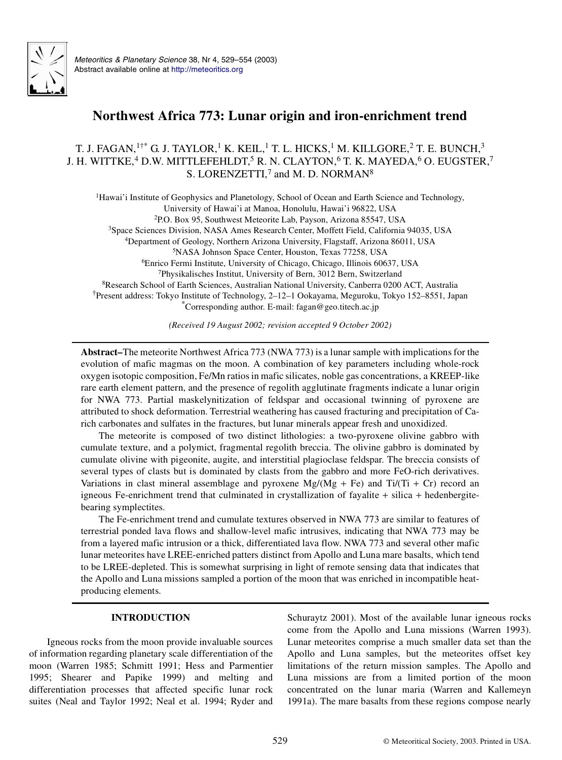

*Meteoritics & Planetary Science* 38, Nr 4, 529–554 (2003) Abstract available online at <http://meteoritics.org>

# **Northwest Africa 773: Lunar origin and iron-enrichment trend**

# T. J. FAGAN,  $1$ <sup>+\*</sup> G. J. TAYLOR,<sup>1</sup> K. KEIL,<sup>1</sup> T. L. HICKS,<sup>1</sup> M. KILLGORE,<sup>2</sup> T. E. BUNCH,<sup>3</sup> J. H. WITTKE,<sup>4</sup> D.W. MITTLEFEHLDT,<sup>5</sup> R. N. CLAYTON,<sup>6</sup> T. K. MAYEDA,<sup>6</sup> O. EUGSTER,<sup>7</sup> S. LORENZETTI,<sup>7</sup> and M. D. NORMAN<sup>8</sup>

Hawai'i Institute of Geophysics and Planetology, School of Ocean and Earth Science and Technology, University of Hawai'i at Manoa, Honolulu, Hawai'i 96822, USA P.O. Box 95, Southwest Meteorite Lab, Payson, Arizona 85547, USA Space Sciences Division, NASA Ames Research Center, Moffett Field, California 94035, USA Department of Geology, Northern Arizona University, Flagstaff, Arizona 86011, USA NASA Johnson Space Center, Houston, Texas 77258, USA Enrico Fermi Institute, University of Chicago, Chicago, Illinois 60637, USA Physikalisches Institut, University of Bern, 3012 Bern, Switzerland Research School of Earth Sciences, Australian National University, Canberra 0200 ACT, Australia †Present address: Tokyo Institute of Technology, 2–12–1 Ookayama, Meguroku, Tokyo 152–8551, Japan \*Corresponding author. E-mail: fagan@geo.titech.ac.jp

*(Received 19 August 2002; revision accepted 9 October 2002)*

**Abstract–**The meteorite Northwest Africa 773 (NWA 773) is a lunar sample with implications for the evolution of mafic magmas on the moon. A combination of key parameters including whole-rock oxygen isotopic composition, Fe/Mn ratios in mafic silicates, noble gas concentrations, a KREEP-like rare earth element pattern, and the presence of regolith agglutinate fragments indicate a lunar origin for NWA 773. Partial maskelynitization of feldspar and occasional twinning of pyroxene are attributed to shock deformation. Terrestrial weathering has caused fracturing and precipitation of Carich carbonates and sulfates in the fractures, but lunar minerals appear fresh and unoxidized.

The meteorite is composed of two distinct lithologies: a two-pyroxene olivine gabbro with cumulate texture, and a polymict, fragmental regolith breccia. The olivine gabbro is dominated by cumulate olivine with pigeonite, augite, and interstitial plagioclase feldspar. The breccia consists of several types of clasts but is dominated by clasts from the gabbro and more FeO-rich derivatives. Variations in clast mineral assemblage and pyroxene Mg/(Mg + Fe) and Ti/(Ti + Cr) record an igneous Fe-enrichment trend that culminated in crystallization of fayalite  $+$  silica  $+$  hedenbergitebearing symplectites.

The Fe-enrichment trend and cumulate textures observed in NWA 773 are similar to features of terrestrial ponded lava flows and shallow-level mafic intrusives, indicating that NWA 773 may be from a layered mafic intrusion or a thick, differentiated lava flow. NWA 773 and several other mafic lunar meteorites have LREE-enriched patters distinct from Apollo and Luna mare basalts, which tend to be LREE-depleted. This is somewhat surprising in light of remote sensing data that indicates that the Apollo and Luna missions sampled a portion of the moon that was enriched in incompatible heatproducing elements.

# **INTRODUCTION**

Igneous rocks from the moon provide invaluable sources of information regarding planetary scale differentiation of the moon (Warren 1985; Schmitt 1991; Hess and Parmentier 1995; Shearer and Papike 1999) and melting and differentiation processes that affected specific lunar rock suites (Neal and Taylor 1992; Neal et al. 1994; Ryder and

Schuraytz 2001). Most of the available lunar igneous rocks come from the Apollo and Luna missions (Warren 1993). Lunar meteorites comprise a much smaller data set than the Apollo and Luna samples, but the meteorites offset key limitations of the return mission samples. The Apollo and Luna missions are from a limited portion of the moon concentrated on the lunar maria (Warren and Kallemeyn 1991a). The mare basalts from these regions compose nearly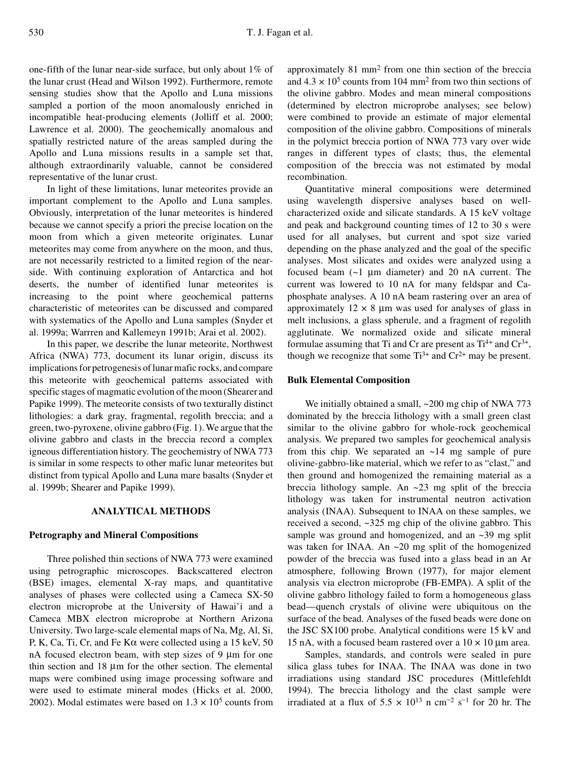one-fifth of the lunar near-side surface, but only about 1% of the lunar crust (Head and Wilson 1992). Furthermore, remote sensing studies show that the Apollo and Luna missions sampled a portion of the moon anomalously enriched in incompatible heat-producing elements (Jolliff et al. 2000; Lawrence et al. 2000). The geochemically anomalous and spatially restricted nature of the areas sampled during the Apollo and Luna missions results in a sample set that, although extraordinarily valuable, cannot be considered representative of the lunar crust.

In light of these limitations, lunar meteorites provide an important complement to the Apollo and Luna samples. Obviously, interpretation of the lunar meteorites is hindered because we cannot specify a priori the precise location on the moon from which a given meteorite originates. Lunar meteorites may come from anywhere on the moon, and thus, are not necessarily restricted to a limited region of the nearside. With continuing exploration of Antarctica and hot deserts, the number of identified lunar meteorites is increasing to the point where geochemical patterns characteristic of meteorites can be discussed and compared with systematics of the Apollo and Luna samples (Snyder et al. 1999a; Warrren and Kallemeyn 1991b; Arai et al. 2002).

In this paper, we describe the lunar meteorite, Northwest Africa (NWA) 773, document its lunar origin, discuss its implications for petrogenesis of lunar mafic rocks, and compare this meteorite with geochemical patterns associated with specific stages of magmatic evolution of the moon (Shearer and Papike 1999). The meteorite consists of two texturally distinct lithologies: a dark gray, fragmental, regolith breccia; and a green, two-pyroxene, olivine gabbro (Fig. 1). We argue that the olivine gabbro and clasts in the breccia record a complex igneous differentiation history. The geochemistry of NWA 773 is similar in some respects to other mafic lunar meteorites but distinct from typical Apollo and Luna mare basalts (Snyder et al. 1999b; Shearer and Papike 1999).

# **ANALYTICAL METHODS**

# **Petrography and Mineral Compositions**

Three polished thin sections of NWA 773 were examined using petrographic microscopes. Backscattered electron (BSE) images, elemental X-ray maps, and quantitative analyses of phases were collected using a Cameca SX-50 electron microprobe at the University of Hawai'i and a Cameca MBX electron microprobe at Northern Arizona University. Two large-scale elemental maps of Na, Mg, Al, Si, P, K, Ca, Ti, Cr, and Fe K $\alpha$  were collected using a 15 keV, 50 nA focused electron beam, with step sizes of  $9 \mu m$  for one thin section and  $18 \mu m$  for the other section. The elemental maps were combined using image processing software and were used to estimate mineral modes (Hicks et al. 2000, 2002). Modal estimates were based on  $1.3 \times 10^5$  counts from

approximately 81 mm<sup>2</sup> from one thin section of the breccia and  $4.3 \times 10^5$  counts from 104 mm<sup>2</sup> from two thin sections of the olivine gabbro. Modes and mean mineral compositions (determined by electron microprobe analyses; see below) were combined to provide an estimate of major elemental composition of the olivine gabbro. Compositions of minerals in the polymict breccia portion of NWA 773 vary over wide ranges in different types of clasts; thus, the elemental composition of the breccia was not estimated by modal recombination.

Quantitative mineral compositions were determined using wavelength dispersive analyses based on wellcharacterized oxide and silicate standards. A 15 keV voltage and peak and background counting times of 12 to 30 s were used for all analyses, but current and spot size varied depending on the phase analyzed and the goal of the specific analyses. Most silicates and oxides were analyzed using a focused beam  $(-1 \mu m)$  diameter) and 20 nA current. The current was lowered to 10 nA for many feldspar and Caphosphate analyses. A 10 nA beam rastering over an area of approximately  $12 \times 8$  µm was used for analyses of glass in melt inclusions, a glass spherule, and a fragment of regolith agglutinate. We normalized oxide and silicate mineral formulae assuming that Ti and Cr are present as  $Ti^{4+}$  and  $Cr^{3+}$ , though we recognize that some  $Ti^{3+}$  and  $Cr^{2+}$  may be present.

# **Bulk Elemental Composition**

We initially obtained a small, ~200 mg chip of NWA 773 dominated by the breccia lithology with a small green clast similar to the olivine gabbro for whole-rock geochemical analysis. We prepared two samples for geochemical analysis from this chip. We separated an  $\sim$ 14 mg sample of pure olivine-gabbro-like material, which we refer to as "clast," and then ground and homogenized the remaining material as a breccia lithology sample. An ~23 mg split of the breccia lithology was taken for instrumental neutron activation analysis (INAA). Subsequent to INAA on these samples, we received a second, ~325 mg chip of the olivine gabbro. This sample was ground and homogenized, and an ~39 mg split was taken for INAA. An ~20 mg split of the homogenized powder of the breccia was fused into a glass bead in an Ar atmosphere, following Brown (1977), for major element analysis via electron microprobe (FB-EMPA). A split of the olivine gabbro lithology failed to form a homogeneous glass bead—quench crystals of olivine were ubiquitous on the surface of the bead. Analyses of the fused beads were done on the JSC SX100 probe. Analytical conditions were 15 kV and 15 nA, with a focused beam rastered over a  $10 \times 10 \mu$ m area.

Samples, standards, and controls were sealed in pure silica glass tubes for INAA. The INAA was done in two irradiations using standard JSC procedures (Mittlefehldt 1994). The breccia lithology and the clast sample were irradiated at a flux of  $5.5 \times 10^{13}$  n cm<sup>-2</sup> s<sup>-1</sup> for 20 hr. The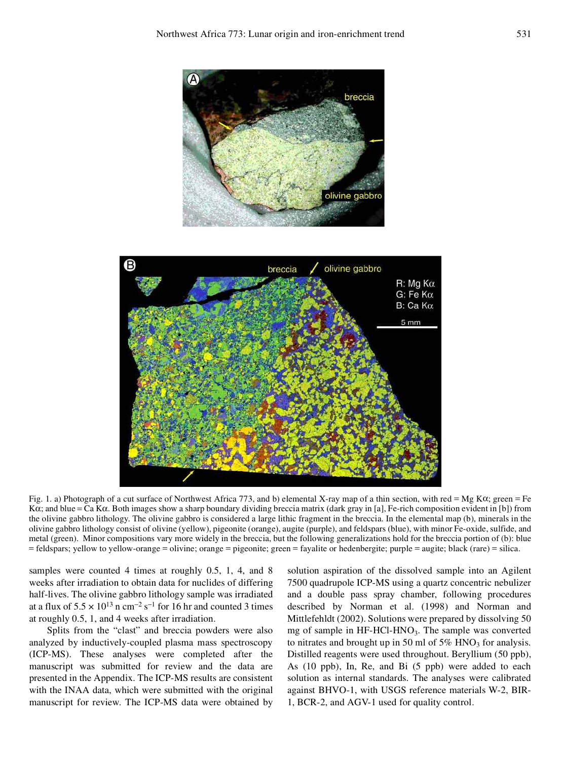



Fig. 1. a) Photograph of a cut surface of Northwest Africa 773, and b) elemental X-ray map of a thin section, with red = Mg Ka; green = Fe Ka; and blue = Ca Ka. Both images show a sharp boundary dividing breccia matrix (dark gray in [a], Fe-rich composition evident in [b]) from the olivine gabbro lithology. The olivine gabbro is considered a large lithic fragment in the breccia. In the elemental map (b), minerals in the olivine gabbro lithology consist of olivine (yellow), pigeonite (orange), augite (purple), and feldspars (blue), with minor Fe-oxide, sulfide, and metal (green). Minor compositions vary more widely in the breccia, but the following generalizations hold for the breccia portion of (b): blue = feldspars; yellow to yellow-orange = olivine; orange = pigeonite; green = fayalite or hedenbergite; purple = augite; black (rare) = silica.

samples were counted 4 times at roughly 0.5, 1, 4, and 8 weeks after irradiation to obtain data for nuclides of differing half-lives. The olivine gabbro lithology sample was irradiated at a flux of  $5.5 \times 10^{13}$  n cm<sup>-2</sup> s<sup>-1</sup> for 16 hr and counted 3 times at roughly 0.5, 1, and 4 weeks after irradiation.

Splits from the "clast" and breccia powders were also analyzed by inductively-coupled plasma mass spectroscopy (ICP-MS). These analyses were completed after the manuscript was submitted for review and the data are presented in the Appendix. The ICP-MS results are consistent with the INAA data, which were submitted with the original manuscript for review. The ICP-MS data were obtained by solution aspiration of the dissolved sample into an Agilent 7500 quadrupole ICP-MS using a quartz concentric nebulizer and a double pass spray chamber, following procedures described by Norman et al. (1998) and Norman and Mittlefehldt (2002). Solutions were prepared by dissolving 50 mg of sample in HF-HCl-HNO<sub>3</sub>. The sample was converted to nitrates and brought up in 50 ml of  $5\%$  HNO<sub>3</sub> for analysis. Distilled reagents were used throughout. Beryllium (50 ppb), As (10 ppb), In, Re, and Bi (5 ppb) were added to each solution as internal standards. The analyses were calibrated against BHVO-1, with USGS reference materials W-2, BIR-1, BCR-2, and AGV-1 used for quality control.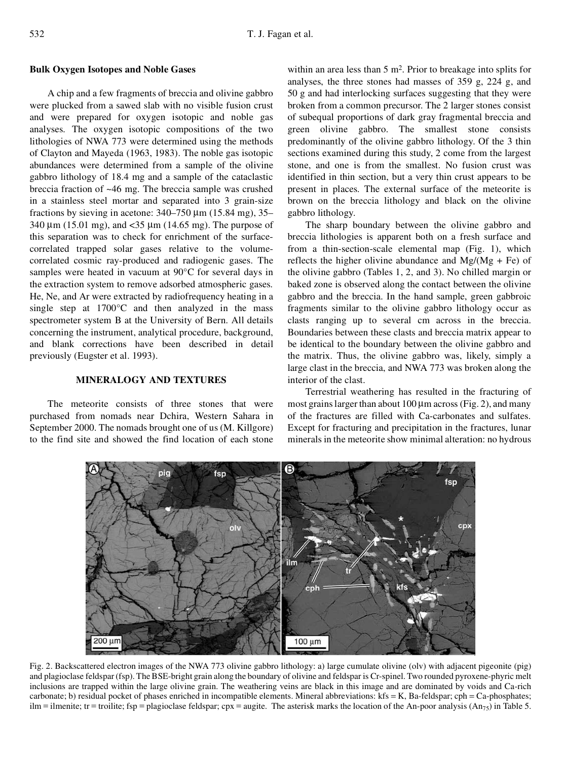#### **Bulk Oxygen Isotopes and Noble Gases**

A chip and a few fragments of breccia and olivine gabbro were plucked from a sawed slab with no visible fusion crust and were prepared for oxygen isotopic and noble gas analyses. The oxygen isotopic compositions of the two lithologies of NWA 773 were determined using the methods of Clayton and Mayeda (1963, 1983). The noble gas isotopic abundances were determined from a sample of the olivine gabbro lithology of 18.4 mg and a sample of the cataclastic breccia fraction of ~46 mg. The breccia sample was crushed in a stainless steel mortar and separated into 3 grain-size fractions by sieving in acetone:  $340-750 \mu m$  (15.84 mg), 35–  $340 \mu m$  (15.01 mg), and <35  $\mu$ m (14.65 mg). The purpose of this separation was to check for enrichment of the surfacecorrelated trapped solar gases relative to the volumecorrelated cosmic ray-produced and radiogenic gases. The samples were heated in vacuum at 90°C for several days in the extraction system to remove adsorbed atmospheric gases. He, Ne, and Ar were extracted by radiofrequency heating in a single step at 1700°C and then analyzed in the mass spectrometer system B at the University of Bern. All details concerning the instrument, analytical procedure, background, and blank corrections have been described in detail previously (Eugster et al. 1993).

# **MINERALOGY AND TEXTURES**

The meteorite consists of three stones that were purchased from nomads near Dchira, Western Sahara in September 2000. The nomads brought one of us (M. Killgore) to the find site and showed the find location of each stone

within an area less than 5 m<sup>2</sup>. Prior to breakage into splits for analyses, the three stones had masses of 359 g, 224 g, and 50 g and had interlocking surfaces suggesting that they were broken from a common precursor. The 2 larger stones consist of subequal proportions of dark gray fragmental breccia and green olivine gabbro. The smallest stone consists predominantly of the olivine gabbro lithology. Of the 3 thin sections examined during this study, 2 come from the largest stone, and one is from the smallest. No fusion crust was identified in thin section, but a very thin crust appears to be present in places. The external surface of the meteorite is brown on the breccia lithology and black on the olivine gabbro lithology.

The sharp boundary between the olivine gabbro and breccia lithologies is apparent both on a fresh surface and from a thin-section-scale elemental map (Fig. 1), which reflects the higher olivine abundance and  $Mg/(Mg + Fe)$  of the olivine gabbro (Tables 1, 2, and 3). No chilled margin or baked zone is observed along the contact between the olivine gabbro and the breccia. In the hand sample, green gabbroic fragments similar to the olivine gabbro lithology occur as clasts ranging up to several cm across in the breccia. Boundaries between these clasts and breccia matrix appear to be identical to the boundary between the olivine gabbro and the matrix. Thus, the olivine gabbro was, likely, simply a large clast in the breccia, and NWA 773 was broken along the interior of the clast.

Terrestrial weathering has resulted in the fracturing of most grains larger than about  $100 \mu m$  across (Fig. 2), and many of the fractures are filled with Ca-carbonates and sulfates. Except for fracturing and precipitation in the fractures, lunar minerals in the meteorite show minimal alteration: no hydrous



Fig. 2. Backscattered electron images of the NWA 773 olivine gabbro lithology: a) large cumulate olivine (olv) with adjacent pigeonite (pig) and plagioclase feldspar (fsp). The BSE-bright grain along the boundary of olivine and feldspar is Cr-spinel. Two rounded pyroxene-phyric melt inclusions are trapped within the large olivine grain. The weathering veins are black in this image and are dominated by voids and Ca-rich carbonate; b) residual pocket of phases enriched in incompatible elements. Mineral abbreviations:  $kfs = K$ , Ba-feldspar; cph = Ca-phosphates; ilm = ilmenite; tr = troilite; fsp = plagioclase feldspar; cpx = augite. The asterisk marks the location of the An-poor analysis (An<sub>75</sub>) in Table 5.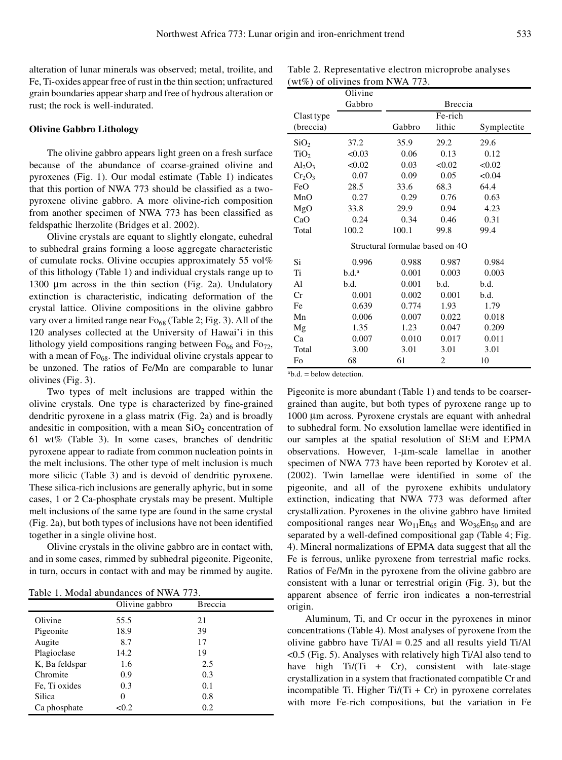alteration of lunar minerals was observed; metal, troilite, and Fe, Ti-oxides appear free of rust in the thin section; unfractured grain boundaries appear sharp and free of hydrous alteration or rust; the rock is well-indurated.

## **Olivine Gabbro Lithology**

The olivine gabbro appears light green on a fresh surface because of the abundance of coarse-grained olivine and pyroxenes (Fig. 1). Our modal estimate (Table 1) indicates that this portion of NWA 773 should be classified as a twopyroxene olivine gabbro. A more olivine-rich composition from another specimen of NWA 773 has been classified as feldspathic lherzolite (Bridges et al. 2002).

Olivine crystals are equant to slightly elongate, euhedral to subhedral grains forming a loose aggregate characteristic of cumulate rocks. Olivine occupies approximately 55 vol% of this lithology (Table 1) and individual crystals range up to 1300  $\mu$ m across in the thin section (Fig. 2a). Undulatory extinction is characteristic, indicating deformation of the crystal lattice. Olivine compositions in the olivine gabbro vary over a limited range near  $Fo_{68}$  (Table 2; Fig. 3). All of the 120 analyses collected at the University of Hawai'i in this lithology yield compositions ranging between  $Fo_{66}$  and  $Fo_{72}$ , with a mean of  $F_{068}$ . The individual olivine crystals appear to be unzoned. The ratios of Fe/Mn are comparable to lunar olivines (Fig. 3).

Two types of melt inclusions are trapped within the olivine crystals. One type is characterized by fine-grained dendritic pyroxene in a glass matrix (Fig. 2a) and is broadly andesitic in composition, with a mean  $SiO<sub>2</sub>$  concentration of 61 wt% (Table 3). In some cases, branches of dendritic pyroxene appear to radiate from common nucleation points in the melt inclusions. The other type of melt inclusion is much more silicic (Table 3) and is devoid of dendritic pyroxene. These silica-rich inclusions are generally aphyric, but in some cases, 1 or 2 Ca-phosphate crystals may be present. Multiple melt inclusions of the same type are found in the same crystal (Fig. 2a), but both types of inclusions have not been identified together in a single olivine host.

Olivine crystals in the olivine gabbro are in contact with, and in some cases, rimmed by subhedral pigeonite. Pigeonite, in turn, occurs in contact with and may be rimmed by augite.

Table 1. Modal abundances of NWA 773.

|                | Olivine gabbro | <b>B</b> reccia |  |
|----------------|----------------|-----------------|--|
| Olivine        | 55.5           | 21              |  |
| Pigeonite      | 18.9           | 39              |  |
| Augite         | 8.7            | 17              |  |
| Plagioclase    | 14.2           | 19              |  |
| K, Ba feldspar | 1.6            | 2.5             |  |
| Chromite       | 0.9            | 0.3             |  |
| Fe, Ti oxides  | 0.3            | 0.1             |  |
| Silica         | 0              | 0.8             |  |
| Ca phosphate   | < 0.2          | 0.2             |  |

Table 2. Representative electron microprobe analyses (wt%) of olivines from NWA 773.

|                         | Olivine           |                                 |         |             |  |
|-------------------------|-------------------|---------------------------------|---------|-------------|--|
|                         | Gabbro            |                                 | Breccia |             |  |
| Clast type              |                   |                                 | Fe-rich |             |  |
| (breccia)               |                   | Gabbro                          | lithic  | Symplectite |  |
| SiO <sub>2</sub>        | 37.2              | 35.9                            | 29.2    | 29.6        |  |
| TiO <sub>2</sub>        | <0.03             | 0.06                            | 0.13    | 0.12        |  |
| $\text{Al}_2\text{O}_3$ | < 0.02            | 0.03                            | < 0.02  | <0.02       |  |
| $Cr_2O_3$               | 0.07              | 0.09                            | 0.05    | < 0.04      |  |
| FeO                     | 28.5              | 33.6                            | 68.3    | 64.4        |  |
| MnO                     | 0.27              | 0.29                            | 0.76    | 0.63        |  |
| MgO                     | 33.8              | 29.9                            | 0.94    | 4.23        |  |
| CaO                     | 0.24              | 0.34                            | 0.46    | 0.31        |  |
| Total                   | 100.2             | 100.1                           | 99.8    | 99.4        |  |
|                         |                   | Structural formulae based on 4O |         |             |  |
| Si                      | 0.996             | 0.988                           | 0.987   | 0.984       |  |
| Ti                      | b.d. <sup>a</sup> | 0.001                           | 0.003   | 0.003       |  |
| Al                      | b.d.              | 0.001                           | b.d.    | b.d.        |  |
| Cr                      | 0.001             | 0.002                           | 0.001   | b.d.        |  |
| Fe                      | 0.639             | 0.774                           | 1.93    | 1.79        |  |
| Mn                      | 0.006             | 0.007                           | 0.022   | 0.018       |  |
| Mg                      | 1.35              | 1.23                            | 0.047   | 0.209       |  |
| Ca                      | 0.007             | 0.010                           | 0.017   | 0.011       |  |
| Total                   | 3.00              | 3.01                            | 3.01    | 3.01        |  |
| Fo                      | 68                | 61                              | 2       | 10          |  |

 $a\mathbf{b}d = \mathbf{b}$ elow detection.

Pigeonite is more abundant (Table 1) and tends to be coarsergrained than augite, but both types of pyroxene range up to 1000 µm across. Pyroxene crystals are equant with anhedral to subhedral form. No exsolution lamellae were identified in our samples at the spatial resolution of SEM and EPMA observations. However, 1-µm-scale lamellae in another specimen of NWA 773 have been reported by Korotev et al. (2002). Twin lamellae were identified in some of the pigeonite, and all of the pyroxene exhibits undulatory extinction, indicating that NWA 773 was deformed after crystallization. Pyroxenes in the olivine gabbro have limited compositional ranges near  $Wo_{11}En_{65}$  and  $Wo_{36}En_{50}$  and are separated by a well-defined compositional gap (Table 4; Fig. 4). Mineral normalizations of EPMA data suggest that all the Fe is ferrous, unlike pyroxene from terrestrial mafic rocks. Ratios of Fe/Mn in the pyroxene from the olivine gabbro are consistent with a lunar or terrestrial origin (Fig. 3), but the apparent absence of ferric iron indicates a non-terrestrial origin.

Aluminum, Ti, and Cr occur in the pyroxenes in minor concentrations (Table 4). Most analyses of pyroxene from the olivine gabbro have  $Ti/Al = 0.25$  and all results yield  $Ti/Al$ <0.5 (Fig. 5). Analyses with relatively high Ti/Al also tend to have high  $Ti/(Ti + Cr)$ , consistent with late-stage crystallization in a system that fractionated compatible Cr and incompatible Ti. Higher  $Ti/(Ti + Cr)$  in pyroxene correlates with more Fe-rich compositions, but the variation in Fe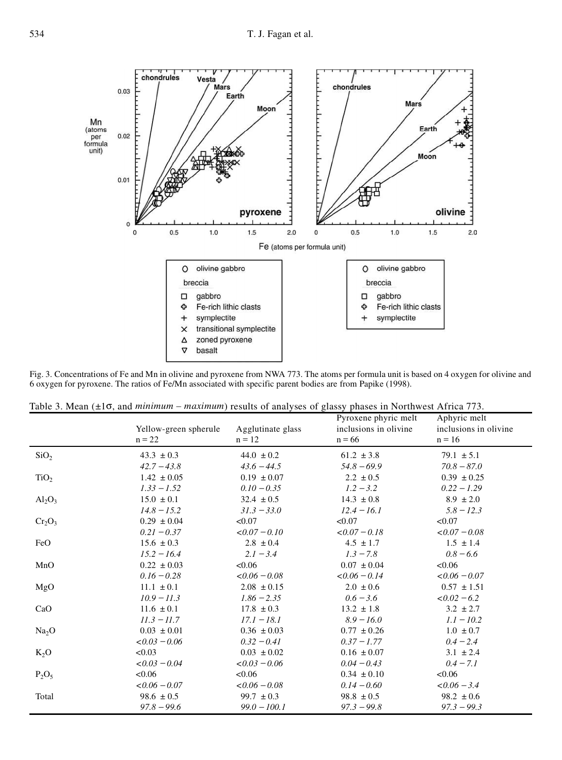Fig. 3. Concentrations of Fe and Mn in olivine and pyroxene from NWA 773. The atoms per formula unit is based on 4 oxygen for olivine and 6 oxygen for pyroxene. The ratios of Fe/Mn associated with specific parent bodies are from Papike (1998).

Table 3. Mean ( $\pm 1\sigma$ , and *minimum – maximum*) results of analyses of glassy phases in Northwest Africa 773.

|                   | Yellow-green spherule<br>$n = 22$ | Agglutinate glass<br>$n = 12$   | Pyroxene phyric melt<br>inclusions in olivine.<br>$n = 66$ | Aphyric melt<br>inclusions in olivine.<br>$n = 16$ |
|-------------------|-----------------------------------|---------------------------------|------------------------------------------------------------|----------------------------------------------------|
| SiO <sub>2</sub>  | $43.3 \pm 0.3$                    | $44.0 \pm 0.2$                  | $61.2 \pm 3.8$                                             | $79.1 \pm 5.1$                                     |
|                   | $42.7 - 43.8$                     | $43.6 - 44.5$                   | $54.8 - 69.9$                                              | $70.8 - 87.0$                                      |
| TiO <sub>2</sub>  | $1.42 \pm 0.05$                   | $0.19 \pm 0.07$                 | $2.2 \pm 0.5$                                              | $0.39 \pm 0.25$                                    |
|                   | $1.33 - 1.52$                     | $0.10 - 0.35$                   | $1.2 - 3.2$                                                | $0.22 - 1.29$                                      |
| $Al_2O_3$         | $15.0 \pm 0.1$                    | $32.4 \pm 0.5$                  | $14.3 \pm 0.8$                                             | $8.9 \pm 2.0$                                      |
|                   | $14.8 - 15.2$                     | $31.3 - 33.0$                   | $12.4 - 16.1$                                              | $5.8 - 12.3$                                       |
| $Cr_2O_3$         | $0.29 \pm 0.04$                   | < 0.07                          | < 0.07                                                     | < 0.07                                             |
|                   | $0.21 - 0.37$                     | $< 0.07 - 0.10$                 | $< 0.07 - 0.18$                                            | $< 0.07 - 0.08$                                    |
| FeO               | $15.6 \pm 0.3$                    | $2.8 \pm 0.4$                   | $4.5 \pm 1.7$                                              | $1.5 \pm 1.4$                                      |
|                   | $15.2 - 16.4$                     | $2.1 - 3.4$                     | $1.3 - 7.8$                                                | $0.8 - 6.6$                                        |
| MnO               | $0.22 \pm 0.03$                   | < 0.06                          | $0.07 \pm 0.04$                                            | < 0.06                                             |
|                   | $0.16 - 0.28$                     | $< 0.06 - 0.08$                 | $< 0.06 - 0.14$                                            | $< 0.06 - 0.07$                                    |
| MgO               | $11.1 \pm 0.1$<br>$10.9 - 11.3$   | $2.08 \pm 0.15$                 | $2.0 \pm 0.6$                                              | $0.57 \pm 1.51$<br>$< 0.02 - 6.2$                  |
| CaO               | $11.6 \pm 0.1$                    | $1.86 - 2.35$<br>$17.8 \pm 0.3$ | $0.6 - 3.6$<br>$13.2 \pm 1.8$                              | $3.2 \pm 2.7$                                      |
| Na <sub>2</sub> O | $11.3 - 11.7$                     | $17.1 - 18.1$                   | $8.9 - 16.0$                                               | $1.1 - 10.2$                                       |
|                   | $0.03 \pm 0.01$                   | $0.36 \pm 0.03$                 | $0.77 \pm 0.26$                                            | $1.0 \pm 0.7$                                      |
|                   | $<0.03-0.06$                      | $0.32 - 0.41$                   | $0.37 - 1.77$                                              | $0.4 - 2.4$                                        |
| $K_2O$            | < 0.03                            | $0.03 \pm 0.02$                 | $0.16 \pm 0.07$                                            | $3.1 \pm 2.4$                                      |
|                   | $< 0.03 - 0.04$                   | $<0.03-0.06$                    | $0.04 - 0.43$                                              | $0.4 - 7.1$                                        |
| $P_2O_5$          | < 0.06                            | < 0.06                          | $0.34 \pm 0.10$                                            | < 0.06                                             |
| Total             | $< 0.06 - 0.07$                   | $< 0.06 - 0.08$                 | $0.14 - 0.60$                                              | $< 0.06 - 3.4$                                     |
|                   | $98.6 \pm 0.5$                    | $99.7 \pm 0.3$                  | $98.8 \pm 0.5$                                             | $98.2 \pm 0.6$                                     |
|                   | $97.8 - 99.6$                     | $99.0 - 100.1$                  | $97.3 - 99.8$                                              | $97.3 - 99.3$                                      |

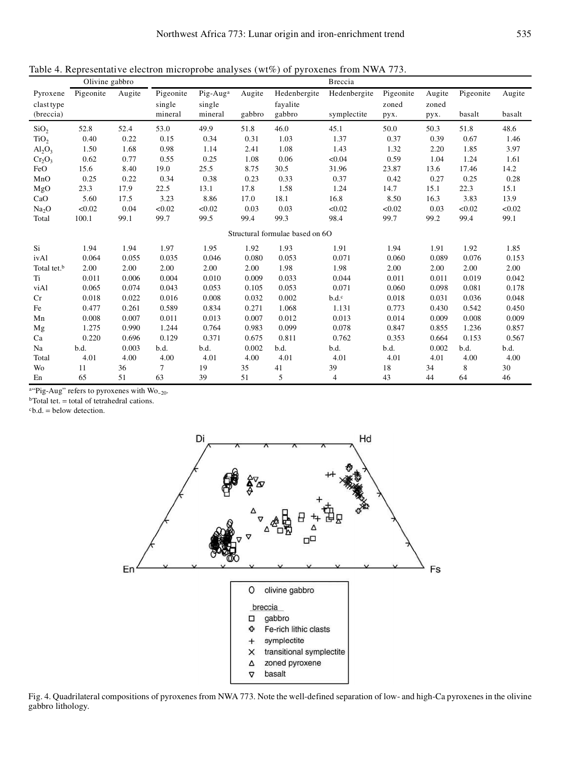|                         | Olivine gabbro |        |                |                      |        |                                 | Breccia      |           |        |           |        |
|-------------------------|----------------|--------|----------------|----------------------|--------|---------------------------------|--------------|-----------|--------|-----------|--------|
| Pyroxene                | Pigeonite      | Augite | Pigeonite      | Pig-Aug <sup>a</sup> | Augite | Hedenbergite                    | Hedenbergite | Pigeonite | Augite | Pigeonite | Augite |
| clast type              |                |        | single         | single               |        | fayalite                        |              | zoned     | zoned  |           |        |
| (breccia)               |                |        | mineral        | mineral              | gabbro | gabbro                          | symplectite  | pyx.      | pyx.   | basalt    | basalt |
| SiO <sub>2</sub>        | 52.8           | 52.4   | 53.0           | 49.9                 | 51.8   | 46.0                            | 45.1         | 50.0      | 50.3   | 51.8      | 48.6   |
| TiO <sub>2</sub>        | 0.40           | 0.22   | 0.15           | 0.34                 | 0.31   | 1.03                            | 1.37         | 0.37      | 0.39   | 0.67      | 1.46   |
| $Al_2O_3$               | 1.50           | 1.68   | 0.98           | 1.14                 | 2.41   | 1.08                            | 1.43         | 1.32      | 2.20   | 1.85      | 3.97   |
| $Cr_2O_3$               | 0.62           | 0.77   | 0.55           | 0.25                 | 1.08   | 0.06                            | < 0.04       | 0.59      | 1.04   | 1.24      | 1.61   |
| FeO                     | 15.6           | 8.40   | 19.0           | 25.5                 | 8.75   | 30.5                            | 31.96        | 23.87     | 13.6   | 17.46     | 14.2   |
| MnO                     | 0.25           | 0.22   | 0.34           | 0.38                 | 0.23   | 0.33                            | 0.37         | 0.42      | 0.27   | 0.25      | 0.28   |
| MgO                     | 23.3           | 17.9   | 22.5           | 13.1                 | 17.8   | 1.58                            | 1.24         | 14.7      | 15.1   | 22.3      | 15.1   |
| CaO                     | 5.60           | 17.5   | 3.23           | 8.86                 | 17.0   | 18.1                            | 16.8         | 8.50      | 16.3   | 3.83      | 13.9   |
| Na <sub>2</sub> O       | < 0.02         | 0.04   | < 0.02         | < 0.02               | 0.03   | 0.03                            | < 0.02       | < 0.02    | 0.03   | < 0.02    | < 0.02 |
| Total                   | 100.1          | 99.1   | 99.7           | 99.5                 | 99.4   | 99.3                            | 98.4         | 99.7      | 99.2   | 99.4      | 99.1   |
|                         |                |        |                |                      |        | Structural formulae based on 6O |              |           |        |           |        |
| Si                      | 1.94           | 1.94   | 1.97           | 1.95                 | 1.92   | 1.93                            | 1.91         | 1.94      | 1.91   | 1.92      | 1.85   |
| ivAl                    | 0.064          | 0.055  | 0.035          | 0.046                | 0.080  | 0.053                           | 0.071        | 0.060     | 0.089  | 0.076     | 0.153  |
| Total tet. <sup>b</sup> | 2.00           | 2.00   | 2.00           | 2.00                 | 2.00   | 1.98                            | 1.98         | 2.00      | 2.00   | 2.00      | 2.00   |
| Ti                      | 0.011          | 0.006  | 0.004          | 0.010                | 0.009  | 0.033                           | 0.044        | 0.011     | 0.011  | 0.019     | 0.042  |
| viAl                    | 0.065          | 0.074  | 0.043          | 0.053                | 0.105  | 0.053                           | 0.071        | 0.060     | 0.098  | 0.081     | 0.178  |
| Cr                      | 0.018          | 0.022  | 0.016          | 0.008                | 0.032  | 0.002                           | b.d.c        | 0.018     | 0.031  | 0.036     | 0.048  |
| Fe                      | 0.477          | 0.261  | 0.589          | 0.834                | 0.271  | 1.068                           | 1.131        | 0.773     | 0.430  | 0.542     | 0.450  |
| Mn                      | 0.008          | 0.007  | 0.011          | 0.013                | 0.007  | 0.012                           | 0.013        | 0.014     | 0.009  | 0.008     | 0.009  |
| Mg                      | 1.275          | 0.990  | 1.244          | 0.764                | 0.983  | 0.099                           | 0.078        | 0.847     | 0.855  | 1.236     | 0.857  |
| Ca                      | 0.220          | 0.696  | 0.129          | 0.371                | 0.675  | 0.811                           | 0.762        | 0.353     | 0.664  | 0.153     | 0.567  |
| Na                      | b.d.           | 0.003  | b.d.           | b.d.                 | 0.002  | b.d.                            | b.d.         | b.d.      | 0.002  | b.d.      | b.d.   |
| Total                   | 4.01           | 4.00   | 4.00           | 4.01                 | 4.00   | 4.01                            | 4.01         | 4.01      | 4.01   | 4.00      | 4.00   |
| Wo                      | 11             | 36     | $\overline{7}$ | 19                   | 35     | 41                              | 39           | 18        | 34     | 8         | 30     |
| En                      | 65             | 51     | 63             | 39                   | 51     | 5                               | 4            | 43        | 44     | 64        | 46     |

a<br>"Pig-Aug" refers to pyroxenes with  $\rm{Wo}_{\sim 20}$ 

<sup>b</sup>Total tet. = total of tetrahedral cations.

 $cb.d. = below detection.$ 



Fig. 4. Quadrilateral compositions of pyroxenes from NWA 773. Note the well-defined separation of low- and high-Ca pyroxenes in the olivine gabbro lithology.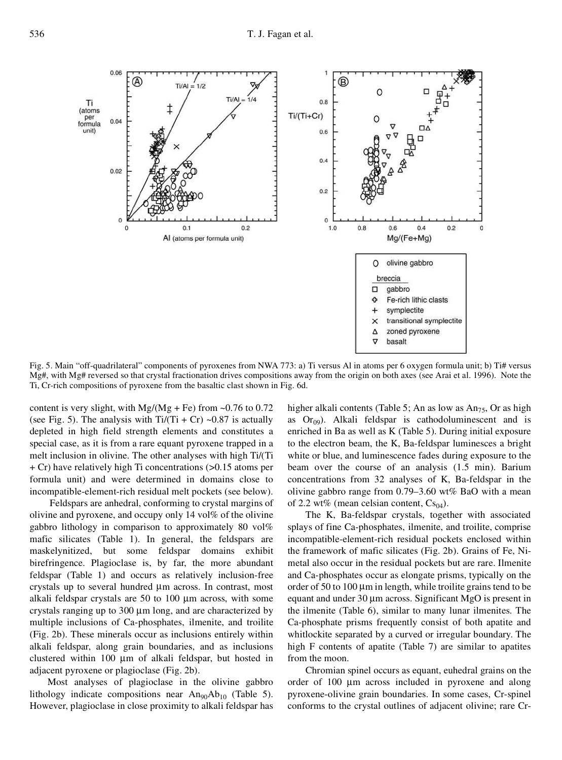

Fig. 5. Main "off-quadrilateral" components of pyroxenes from NWA 773: a) Ti versus Al in atoms per 6 oxygen formula unit; b) Ti# versus Mg#, with Mg# reversed so that crystal fractionation drives compositions away from the origin on both axes (see Arai et al. 1996). Note the Ti, Cr-rich compositions of pyroxene from the basaltic clast shown in Fig. 6d.

content is very slight, with Mg/(Mg + Fe) from  $\sim 0.76$  to 0.72 (see Fig. 5). The analysis with  $Ti/(Ti + Cr) \sim 0.87$  is actually depleted in high field strength elements and constitutes a special case, as it is from a rare equant pyroxene trapped in a melt inclusion in olivine. The other analyses with high Ti/(Ti + Cr) have relatively high Ti concentrations (>0.15 atoms per formula unit) and were determined in domains close to incompatible-element-rich residual melt pockets (see below).

Feldspars are anhedral, conforming to crystal margins of olivine and pyroxene, and occupy only 14 vol% of the olivine gabbro lithology in comparison to approximately 80 vol% mafic silicates (Table 1). In general, the feldspars are maskelynitized, but some feldspar domains exhibit birefringence. Plagioclase is, by far, the more abundant feldspar (Table 1) and occurs as relatively inclusion-free crystals up to several hundred  $\mu$ m across. In contrast, most alkali feldspar crystals are  $50$  to  $100 \mu m$  across, with some crystals ranging up to  $300 \mu m$  long, and are characterized by multiple inclusions of Ca-phosphates, ilmenite, and troilite (Fig. 2b). These minerals occur as inclusions entirely within alkali feldspar, along grain boundaries, and as inclusions clustered within 100  $\mu$ m of alkali feldspar, but hosted in adjacent pyroxene or plagioclase (Fig. 2b).

Most analyses of plagioclase in the olivine gabbro lithology indicate compositions near  $An_{90}Ab_{10}$  (Table 5). However, plagioclase in close proximity to alkali feldspar has

higher alkali contents (Table 5; An as low as  $An_{75}$ , Or as high as  $O(r_{09})$ . Alkali feldspar is cathodoluminescent and is enriched in Ba as well as K (Table 5). During initial exposure to the electron beam, the K, Ba-feldspar luminesces a bright white or blue, and luminescence fades during exposure to the beam over the course of an analysis (1.5 min). Barium concentrations from 32 analyses of K, Ba-feldspar in the olivine gabbro range from 0.79–3.60 wt% BaO with a mean of 2.2 wt% (mean celsian content,  $Cs<sub>04</sub>$ ).

The K, Ba-feldspar crystals, together with associated splays of fine Ca-phosphates, ilmenite, and troilite, comprise incompatible-element-rich residual pockets enclosed within the framework of mafic silicates (Fig. 2b). Grains of Fe, Nimetal also occur in the residual pockets but are rare. Ilmenite and Ca-phosphates occur as elongate prisms, typically on the order of 50 to 100  $\mu$ m in length, while troilite grains tend to be equant and under  $30 \mu m$  across. Significant MgO is present in the ilmenite (Table 6), similar to many lunar ilmenites. The Ca-phosphate prisms frequently consist of both apatite and whitlockite separated by a curved or irregular boundary. The high F contents of apatite (Table 7) are similar to apatites from the moon.

Chromian spinel occurs as equant, euhedral grains on the order of  $100 \mu m$  across included in pyroxene and along pyroxene-olivine grain boundaries. In some cases, Cr-spinel conforms to the crystal outlines of adjacent olivine; rare Cr-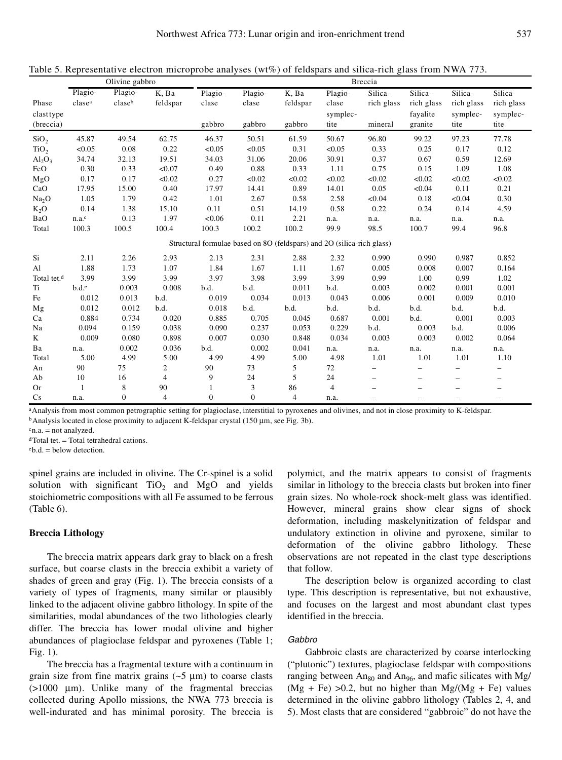|                         | Olivine gabbro    |                | <b>Breccia</b> |                |              |                |                                                                        |                          |                          |                          |                          |
|-------------------------|-------------------|----------------|----------------|----------------|--------------|----------------|------------------------------------------------------------------------|--------------------------|--------------------------|--------------------------|--------------------------|
|                         | Plagio-           | Plagio-        | K, Ba          | Plagio-        | Plagio-      | K, Ba          | Plagio-                                                                | Silica-                  | Silica-                  | Silica-                  | Silica-                  |
| Phase                   | clasea            | claseb         | feldspar       | clase          | clase        | feldspar       | clase                                                                  | rich glass               | rich glass               | rich glass               | rich glass               |
| clast type              |                   |                |                |                |              |                | symplec-                                                               |                          | fayalite                 | symplec-                 | symplec-                 |
| (breccia)               |                   |                |                | gabbro         | gabbro       | gabbro         | tite                                                                   | mineral                  | granite                  | tite                     | tite                     |
| SiO <sub>2</sub>        | 45.87             | 49.54          | 62.75          | 46.37          | 50.51        | 61.59          | 50.67                                                                  | 96.80                    | 99.22                    | 97.23                    | 77.78                    |
| TiO <sub>2</sub>        | < 0.05            | 0.08           | 0.22           | < 0.05         | < 0.05       | 0.31           | < 0.05                                                                 | 0.33                     | 0.25                     | 0.17                     | 0.12                     |
| $Al_2O_3$               | 34.74             | 32.13          | 19.51          | 34.03          | 31.06        | 20.06          | 30.91                                                                  | 0.37                     | 0.67                     | 0.59                     | 12.69                    |
| FeO                     | 0.30              | 0.33           | < 0.07         | 0.49           | 0.88         | 0.33           | 1.11                                                                   | 0.75                     | 0.15                     | 1.09                     | 1.08                     |
| MgO                     | 0.17              | 0.17           | < 0.02         | 0.27           | < 0.02       | < 0.02         | < 0.02                                                                 | < 0.02                   | < 0.02                   | < 0.02                   | < 0.02                   |
| CaO                     | 17.95             | 15.00          | 0.40           | 17.97          | 14.41        | 0.89           | 14.01                                                                  | 0.05                     | < 0.04                   | 0.11                     | 0.21                     |
| Na <sub>2</sub> O       | 1.05              | 1.79           | 0.42           | 1.01           | 2.67         | 0.58           | 2.58                                                                   | < 0.04                   | 0.18                     | < 0.04                   | 0.30                     |
| $K_2O$                  | 0.14              | 1.38           | 15.10          | 0.11           | 0.51         | 14.19          | 0.58                                                                   | 0.22                     | 0.24                     | 0.14                     | 4.59                     |
| BaO                     | n.a. <sup>c</sup> | 0.13           | 1.97           | < 0.06         | 0.11         | 2.21           | n.a.                                                                   | n.a.                     | n.a.                     | n.a.                     | n.a.                     |
| Total                   | 100.3             | 100.5          | 100.4          | 100.3          | 100.2        | 100.2          | 99.9                                                                   | 98.5                     | 100.7                    | 99.4                     | 96.8                     |
|                         |                   |                |                |                |              |                | Structural formulae based on 8O (feldspars) and 2O (silica-rich glass) |                          |                          |                          |                          |
| Si                      | 2.11              | 2.26           | 2.93           | 2.13           | 2.31         | 2.88           | 2.32                                                                   | 0.990                    | 0.990                    | 0.987                    | 0.852                    |
| Al                      | 1.88              | 1.73           | 1.07           | 1.84           | 1.67         | 1.11           | 1.67                                                                   | 0.005                    | 0.008                    | 0.007                    | 0.164                    |
| Total tet. <sup>d</sup> | 3.99              | 3.99           | 3.99           | 3.97           | 3.98         | 3.99           | 3.99                                                                   | 0.99                     | 1.00                     | 0.99                     | 1.02                     |
| Ti                      | $b.d.^e$          | 0.003          | 0.008          | b.d.           | b.d.         | 0.011          | b.d.                                                                   | 0.003                    | 0.002                    | 0.001                    | 0.001                    |
| Fe                      | 0.012             | 0.013          | b.d.           | 0.019          | 0.034        | 0.013          | 0.043                                                                  | 0.006                    | 0.001                    | 0.009                    | 0.010                    |
| Mg                      | 0.012             | 0.012          | b.d.           | 0.018          | b.d.         | b.d.           | b.d.                                                                   | b.d.                     | b.d.                     | b.d.                     | b.d.                     |
| Ca                      | 0.884             | 0.734          | 0.020          | 0.885          | 0.705        | 0.045          | 0.687                                                                  | 0.001                    | b.d.                     | 0.001                    | 0.003                    |
| Na                      | 0.094             | 0.159          | 0.038          | 0.090          | 0.237        | 0.053          | 0.229                                                                  | b.d.                     | 0.003                    | b.d.                     | 0.006                    |
| K                       | 0.009             | 0.080          | 0.898          | 0.007          | 0.030        | 0.848          | 0.034                                                                  | 0.003                    | 0.003                    | 0.002                    | 0.064                    |
| Ba                      | n.a.              | 0.002          | 0.036          | b.d.           | 0.002        | 0.041          | n.a.                                                                   | n.a.                     | n.a.                     | n.a.                     | n.a.                     |
| Total                   | 5.00              | 4.99           | 5.00           | 4.99           | 4.99         | 5.00           | 4.98                                                                   | 1.01                     | 1.01                     | 1.01                     | 1.10                     |
| An                      | 90                | 75             | $\overline{c}$ | 90             | 73           | 5              | 72                                                                     | $\overline{\phantom{0}}$ |                          | $\overline{\phantom{0}}$ | $\overline{\phantom{0}}$ |
| Ab                      | 10                | 16             | $\overline{4}$ | 9              | 24           | 5              | 24                                                                     | $\overline{\phantom{0}}$ |                          | Ξ.                       | -                        |
| <b>Or</b>               | $\mathbf{1}$      | 8              | 90             | 1              | 3            | 86             | $\overline{4}$                                                         | $\overline{\phantom{0}}$ | $\overline{\phantom{0}}$ | -                        | -                        |
| Cs                      | n.a.              | $\overline{0}$ | $\overline{4}$ | $\overline{0}$ | $\mathbf{0}$ | $\overline{4}$ | n.a.                                                                   | $\overline{\phantom{0}}$ | $\overline{\phantom{0}}$ | $\overline{\phantom{0}}$ | $\overline{\phantom{0}}$ |

Table 5. Representative electron microprobe analyses (wt%) of feldspars and silica-rich glass from NWA 773.

<sup>a</sup>Analysis from most common petrographic setting for plagioclase, interstitial to pyroxenes and olivines, and not in close proximity to K-feldspar.  $b$ Analysis located in close proximity to adjacent K-feldspar crystal (150  $\mu$ m, see Fig. 3b).

 $c_{n.a.}$  = not analyzed.

<sup>d</sup>Total tet. = Total tetrahedral cations.

 $eh d =$  below detection.

spinel grains are included in olivine. The Cr-spinel is a solid solution with significant  $TiO<sub>2</sub>$  and MgO and yields stoichiometric compositions with all Fe assumed to be ferrous (Table 6).

## **Breccia Lithology**

The breccia matrix appears dark gray to black on a fresh surface, but coarse clasts in the breccia exhibit a variety of shades of green and gray (Fig. 1). The breccia consists of a variety of types of fragments, many similar or plausibly linked to the adjacent olivine gabbro lithology. In spite of the similarities, modal abundances of the two lithologies clearly differ. The breccia has lower modal olivine and higher abundances of plagioclase feldspar and pyroxenes (Table 1; Fig. 1).

The breccia has a fragmental texture with a continuum in grain size from fine matrix grains  $(-5 \mu m)$  to coarse clasts  $(>1000 \mu m)$ . Unlike many of the fragmental breccias collected during Apollo missions, the NWA 773 breccia is well-indurated and has minimal porosity. The breccia is

polymict, and the matrix appears to consist of fragments similar in lithology to the breccia clasts but broken into finer grain sizes. No whole-rock shock-melt glass was identified. However, mineral grains show clear signs of shock deformation, including maskelynitization of feldspar and undulatory extinction in olivine and pyroxene, similar to deformation of the olivine gabbro lithology. These observations are not repeated in the clast type descriptions that follow.

The description below is organized according to clast type. This description is representative, but not exhaustive, and focuses on the largest and most abundant clast types identified in the breccia.

# *Gabbro*

Gabbroic clasts are characterized by coarse interlocking ("plutonic") textures, plagioclase feldspar with compositions ranging between  $An_{80}$  and  $An_{96}$ , and mafic silicates with Mg/  $(Mg + Fe) > 0.2$ , but no higher than Mg/(Mg + Fe) values determined in the olivine gabbro lithology (Tables 2, 4, and 5). Most clasts that are considered "gabbroic" do not have the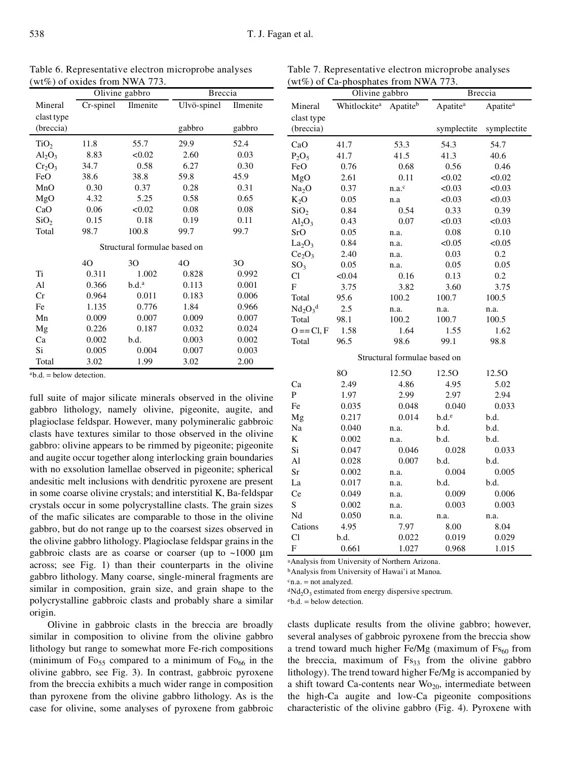|                  |           | Olivine gabbro               | <b>Breccia</b> |          |  |
|------------------|-----------|------------------------------|----------------|----------|--|
| Mineral          | Cr-spinel | Ilmenite                     | Ulvö-spinel    | Ilmenite |  |
| clast type       |           |                              |                |          |  |
| (breccia)        |           |                              | gabbro         | gabbro   |  |
| TiO <sub>2</sub> | 11.8      | 55.7                         | 29.9           | 52.4     |  |
| $Al_2O_3$        | 8.83      | < 0.02                       | 2.60           | 0.03     |  |
| $Cr_2O_3$        | 34.7      | 0.58                         | 6.27           | 0.30     |  |
| FeO              | 38.6      | 38.8                         | 59.8           | 45.9     |  |
| MnO              | 0.30      | 0.37                         | 0.28           | 0.31     |  |
| MgO              | 4.32      | 5.25                         | 0.58           | 0.65     |  |
| CaO              | 0.06      | < 0.02                       | 0.08           | 0.08     |  |
| SiO <sub>2</sub> | 0.15      | 0.18                         | 0.19           | 0.11     |  |
| Total            | 98.7      | 100.8                        | 99.7           | 99.7     |  |
|                  |           | Structural formulae based on |                |          |  |
|                  | 4O        | 30                           | 40             | 30       |  |
| Ti               | 0.311     | 1.002                        | 0.828          | 0.992    |  |
| Al               | 0.366     | b.d. <sup>a</sup>            | 0.113          | 0.001    |  |
| Cr               | 0.964     | 0.011                        | 0.183          | 0.006    |  |
| Fe               | 1.135     | 0.776                        | 1.84           | 0.966    |  |
| Mn               | 0.009     | 0.007                        | 0.009          | 0.007    |  |
| Mg               | 0.226     | 0.187                        | 0.032          | 0.024    |  |
| Ca               | 0.002     | b.d.                         | 0.003          | 0.002    |  |
| Si               | 0.005     | 0.004                        | 0.007          | 0.003    |  |
| Total            | 3.02      | 1.99                         | 3.02           | 2.00     |  |

full suite of major silicate minerals observed in the olivine gabbro lithology, namely olivine, pigeonite, augite, and plagioclase feldspar. However, many polymineralic gabbroic clasts have textures similar to those observed in the olivine gabbro: olivine appears to be rimmed by pigeonite; pigeonite and augite occur together along interlocking grain boundaries with no exsolution lamellae observed in pigeonite; spherical andesitic melt inclusions with dendritic pyroxene are present in some coarse olivine crystals; and interstitial K, Ba-feldspar crystals occur in some polycrystalline clasts. The grain sizes of the mafic silicates are comparable to those in the olivine gabbro, but do not range up to the coarsest sizes observed in the olivine gabbro lithology. Plagioclase feldspar grains in the gabbroic clasts are as coarse or coarser (up to  $~1000~\mu m$ across; see Fig. 1) than their counterparts in the olivine gabbro lithology. Many coarse, single-mineral fragments are similar in composition, grain size, and grain shape to the polycrystalline gabbroic clasts and probably share a similar

Table 6. Representative electron microprobe analyses  $(wt\%)$  of oxides from NWA 773.

Table 7. Representative electron microprobe analyses (wt%) of Ca-phosphates from NWA 773.

Olivine gabbro Breccia

| Mineral                        | Whitlockite <sup>a</sup> | Apatiteb                     | Apatite <sup>a</sup> | Apatite <sup>a</sup> |
|--------------------------------|--------------------------|------------------------------|----------------------|----------------------|
| clast type                     |                          |                              |                      |                      |
| (breccia)                      |                          |                              | symplectite          | symplectite          |
| CaO                            | 41.7                     | 53.3                         | 54.3                 | 54.7                 |
| $P_2O_5$                       | 41.7                     | 41.5                         | 41.3                 | 40.6                 |
| FeO                            | 0.76                     | 0.68                         | 0.56                 | 0.46                 |
| MgO                            | 2.61                     | 0.11                         | < 0.02               | < 0.02               |
| Na <sub>2</sub> O              | 0.37                     | n.a.c                        | < 0.03               | < 0.03               |
| $K_2O$                         | 0.05                     | n.a                          | < 0.03               | < 0.03               |
| SiO <sub>2</sub>               | 0.84                     | 0.54                         | 0.33                 | 0.39                 |
| $Al_2O_3$                      | 0.43                     | 0.07                         | < 0.03               | < 0.03               |
| SrO                            | 0.05                     | n.a.                         | 0.08                 | 0.10                 |
| La <sub>2</sub> O <sub>3</sub> | 0.84                     | n.a.                         | < 0.05               | < 0.05               |
| Ce <sub>2</sub> O <sub>3</sub> | 2.40                     | n.a.                         | 0.03                 | 0.2                  |
| $SO_3$                         | 0.05                     | n.a.                         | 0.05                 | 0.05                 |
| C1                             | < 0.04                   | 0.16                         | 0.13                 | 0.2                  |
| F                              | 3.75                     | 3.82                         | 3.60                 | 3.75                 |
| Total                          | 95.6                     | 100.2                        | 100.7                | 100.5                |
| $Nd_2O_3^d$                    | 2.5                      | n.a.                         | n.a.                 | n.a.                 |
| Total                          | 98.1                     | 100.2                        | 100.7                | 100.5                |
| $O == Cl, F$                   | 1.58                     | 1.64                         | 1.55                 | 1.62                 |
| Total                          | 96.5                     | 98.6                         | 99.1                 | 98.8                 |
|                                |                          | Structural formulae based on |                      |                      |
|                                | 80                       | 12.50                        | 12.50                | 12.5O                |
| Сa                             | 2.49                     | 4.86                         | 4.95                 | 5.02                 |
| P                              | 1.97                     | 2.99                         | 2.97                 | 2.94                 |
| Fe                             | 0.035                    | 0.048                        | 0.040                | 0.033                |
| Mg                             | 0.217                    | 0.014                        | b.d. <sup>e</sup>    | b.d.                 |
| Na                             | 0.040                    | n.a.                         | b.d.                 | b.d.                 |
| K                              | 0.002                    | n.a.                         | b.d.                 | b.d.                 |
| Si                             | 0.047                    | 0.046                        | 0.028                | 0.033                |
| Al                             | 0.028                    | 0.007                        | b.d.                 | b.d.                 |
| Sr                             | 0.002                    | n.a.                         | 0.004                | 0.005                |
| La                             | 0.017                    | n.a.                         | b.d.                 | b.d.                 |
| Ce                             | 0.049                    | n.a.                         | 0.009                | 0.006                |
| S                              | 0.002                    | n.a.                         | 0.003                | 0.003                |
| Nd                             | 0.050                    | n.a.                         | n.a.                 | n.a.                 |
| Cations                        | 4.95                     | 7.97                         | 8.00                 | 8.04                 |
| Cl                             | b.d.                     | 0.022                        | 0.019                | 0.029                |
| F                              | 0.661                    | 1.027                        | 0.968                | 1.015                |

<sup>a</sup>Analysis from University of Northern Arizona.

<sup>b</sup>Analysis from University of Hawai'i at Manoa.

 $c_{n.a.}$  = not analyzed.

 $dNd<sub>2</sub>O<sub>3</sub>$  estimated from energy dispersive spectrum.

 $eb.d. = below detection.$ 

Olivine in gabbroic clasts in the breccia are broadly similar in composition to olivine from the olivine gabbro lithology but range to somewhat more Fe-rich compositions (minimum of  $F_{0.55}$  compared to a minimum of  $F_{0.66}$  in the olivine gabbro, see Fig. 3). In contrast, gabbroic pyroxene from the breccia exhibits a much wider range in composition than pyroxene from the olivine gabbro lithology. As is the case for olivine, some analyses of pyroxene from gabbroic

origin.

 $a_{b.d.}$  = below detection.

clasts duplicate results from the olivine gabbro; however, several analyses of gabbroic pyroxene from the breccia show a trend toward much higher Fe/Mg (maximum of  $Fs_{60}$  from the breccia, maximum of  $Fs_{33}$  from the olivine gabbro lithology). The trend toward higher Fe/Mg is accompanied by a shift toward Ca-contents near  $\text{Wo}_{20}$ , intermediate between the high-Ca augite and low-Ca pigeonite compositions characteristic of the olivine gabbro (Fig. 4). Pyroxene with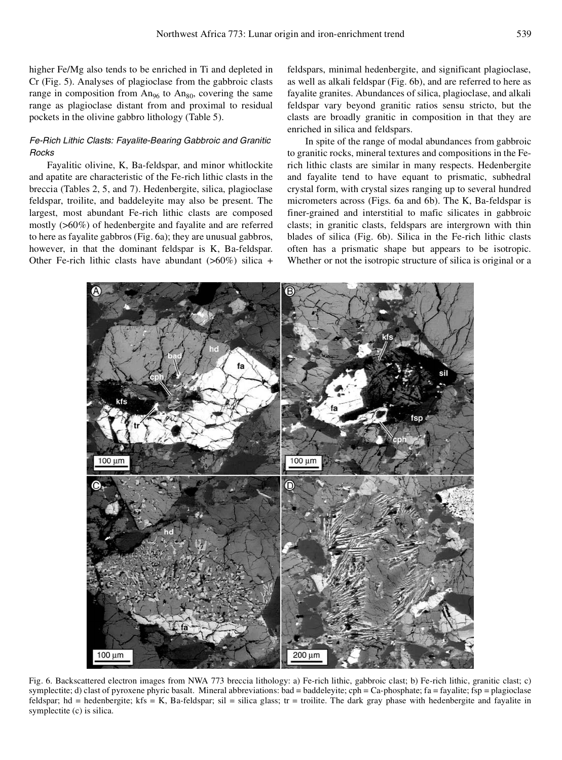higher Fe/Mg also tends to be enriched in Ti and depleted in Cr (Fig. 5). Analyses of plagioclase from the gabbroic clasts range in composition from  $An_{96}$  to  $An_{80}$ , covering the same range as plagioclase distant from and proximal to residual pockets in the olivine gabbro lithology (Table 5).

# *Fe-Rich Lithic Clasts: Fayalite-Bearing Gabbroic and Granitic Rocks*

Fayalitic olivine, K, Ba-feldspar, and minor whitlockite and apatite are characteristic of the Fe-rich lithic clasts in the breccia (Tables 2, 5, and 7). Hedenbergite, silica, plagioclase feldspar, troilite, and baddeleyite may also be present. The largest, most abundant Fe-rich lithic clasts are composed mostly (>60%) of hedenbergite and fayalite and are referred to here as fayalite gabbros (Fig. 6a); they are unusual gabbros, however, in that the dominant feldspar is K, Ba-feldspar. Other Fe-rich lithic clasts have abundant  $(>60\%)$  silica +

feldspars, minimal hedenbergite, and significant plagioclase, as well as alkali feldspar (Fig. 6b), and are referred to here as fayalite granites. Abundances of silica, plagioclase, and alkali feldspar vary beyond granitic ratios sensu stricto, but the clasts are broadly granitic in composition in that they are enriched in silica and feldspars.

In spite of the range of modal abundances from gabbroic to granitic rocks, mineral textures and compositions in the Ferich lithic clasts are similar in many respects. Hedenbergite and fayalite tend to have equant to prismatic, subhedral crystal form, with crystal sizes ranging up to several hundred micrometers across (Figs. 6a and 6b). The K, Ba-feldspar is finer-grained and interstitial to mafic silicates in gabbroic clasts; in granitic clasts, feldspars are intergrown with thin blades of silica (Fig. 6b). Silica in the Fe-rich lithic clasts often has a prismatic shape but appears to be isotropic. Whether or not the isotropic structure of silica is original or a



Fig. 6. Backscattered electron images from NWA 773 breccia lithology: a) Fe-rich lithic, gabbroic clast; b) Fe-rich lithic, granitic clast; c) symplectite; d) clast of pyroxene phyric basalt. Mineral abbreviations: bad = baddeleyite; cph = Ca-phosphate; fa = fayalite; fsp = plagioclase feldspar; hd = hedenbergite; kfs = K, Ba-feldspar; sil = silica glass; tr = troilite. The dark gray phase with hedenbergite and fayalite in symplectite (c) is silica.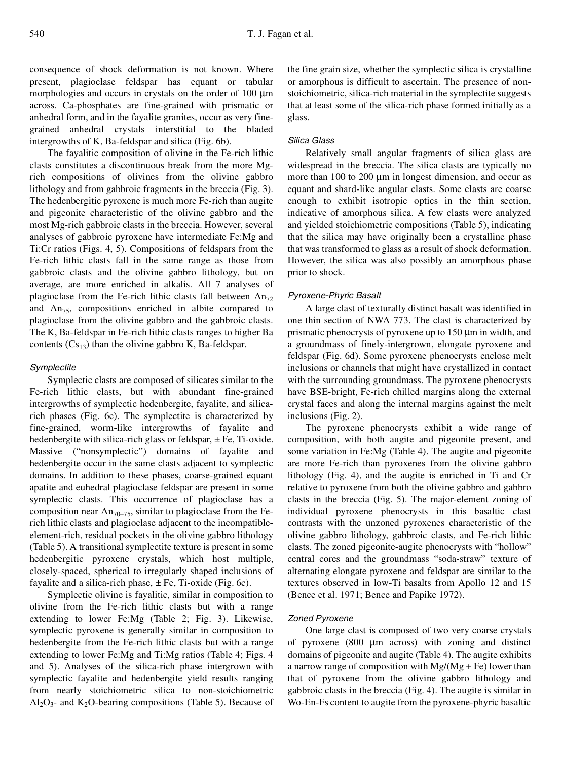consequence of shock deformation is not known. Where present, plagioclase feldspar has equant or tabular morphologies and occurs in crystals on the order of  $100 \mu m$ across. Ca-phosphates are fine-grained with prismatic or anhedral form, and in the fayalite granites, occur as very finegrained anhedral crystals interstitial to the bladed intergrowths of K, Ba-feldspar and silica (Fig. 6b).

The fayalitic composition of olivine in the Fe-rich lithic clasts constitutes a discontinuous break from the more Mgrich compositions of olivines from the olivine gabbro lithology and from gabbroic fragments in the breccia (Fig. 3). The hedenbergitic pyroxene is much more Fe-rich than augite and pigeonite characteristic of the olivine gabbro and the most Mg-rich gabbroic clasts in the breccia. However, several analyses of gabbroic pyroxene have intermediate Fe:Mg and Ti:Cr ratios (Figs. 4, 5). Compositions of feldspars from the Fe-rich lithic clasts fall in the same range as those from gabbroic clasts and the olivine gabbro lithology, but on average, are more enriched in alkalis. All 7 analyses of plagioclase from the Fe-rich lithic clasts fall between  $An_{72}$ and  $An_{75}$ , compositions enriched in albite compared to plagioclase from the olivine gabbro and the gabbroic clasts. The K, Ba-feldspar in Fe-rich lithic clasts ranges to higher Ba contents  $(Cs_{13})$  than the olivine gabbro K, Ba-feldspar.

# *Symplectite*

Symplectic clasts are composed of silicates similar to the Fe-rich lithic clasts, but with abundant fine-grained intergrowths of symplectic hedenbergite, fayalite, and silicarich phases (Fig. 6c). The symplectite is characterized by fine-grained, worm-like intergrowths of fayalite and hedenbergite with silica-rich glass or feldspar,  $\pm$  Fe, Ti-oxide. Massive ("nonsymplectic") domains of fayalite and hedenbergite occur in the same clasts adjacent to symplectic domains. In addition to these phases, coarse-grained equant apatite and euhedral plagioclase feldspar are present in some symplectic clasts. This occurrence of plagioclase has a composition near  $An_{70-75}$ , similar to plagioclase from the Ferich lithic clasts and plagioclase adjacent to the incompatibleelement-rich, residual pockets in the olivine gabbro lithology (Table 5). A transitional symplectite texture is present in some hedenbergitic pyroxene crystals, which host multiple, closely-spaced, spherical to irregularly shaped inclusions of fayalite and a silica-rich phase,  $\pm$  Fe, Ti-oxide (Fig. 6c).

Symplectic olivine is fayalitic, similar in composition to olivine from the Fe-rich lithic clasts but with a range extending to lower Fe:Mg (Table 2; Fig. 3). Likewise, symplectic pyroxene is generally similar in composition to hedenbergite from the Fe-rich lithic clasts but with a range extending to lower Fe:Mg and Ti:Mg ratios (Table 4; Figs. 4 and 5). Analyses of the silica-rich phase intergrown with symplectic fayalite and hedenbergite yield results ranging from nearly stoichiometric silica to non-stoichiometric  $Al_2O_3$ - and  $K_2O$ -bearing compositions (Table 5). Because of

the fine grain size, whether the symplectic silica is crystalline or amorphous is difficult to ascertain. The presence of nonstoichiometric, silica-rich material in the symplectite suggests that at least some of the silica-rich phase formed initially as a glass.

## *Silica Glass*

Relatively small angular fragments of silica glass are widespread in the breccia. The silica clasts are typically no more than  $100$  to  $200 \mu m$  in longest dimension, and occur as equant and shard-like angular clasts. Some clasts are coarse enough to exhibit isotropic optics in the thin section, indicative of amorphous silica. A few clasts were analyzed and yielded stoichiometric compositions (Table 5), indicating that the silica may have originally been a crystalline phase that was transformed to glass as a result of shock deformation. However, the silica was also possibly an amorphous phase prior to shock.

#### *Pyroxene-Phyric Basalt*

A large clast of texturally distinct basalt was identified in one thin section of NWA 773. The clast is characterized by prismatic phenocrysts of pyroxene up to  $150 \mu m$  in width, and a groundmass of finely-intergrown, elongate pyroxene and feldspar (Fig. 6d). Some pyroxene phenocrysts enclose melt inclusions or channels that might have crystallized in contact with the surrounding groundmass. The pyroxene phenocrysts have BSE-bright, Fe-rich chilled margins along the external crystal faces and along the internal margins against the melt inclusions (Fig. 2).

The pyroxene phenocrysts exhibit a wide range of composition, with both augite and pigeonite present, and some variation in Fe:Mg (Table 4). The augite and pigeonite are more Fe-rich than pyroxenes from the olivine gabbro lithology (Fig. 4), and the augite is enriched in Ti and Cr relative to pyroxene from both the olivine gabbro and gabbro clasts in the breccia (Fig. 5). The major-element zoning of individual pyroxene phenocrysts in this basaltic clast contrasts with the unzoned pyroxenes characteristic of the olivine gabbro lithology, gabbroic clasts, and Fe-rich lithic clasts. The zoned pigeonite-augite phenocrysts with "hollow" central cores and the groundmass "soda-straw" texture of alternating elongate pyroxene and feldspar are similar to the textures observed in low-Ti basalts from Apollo 12 and 15 (Bence et al. 1971; Bence and Papike 1972).

#### *Zoned Pyroxene*

One large clast is composed of two very coarse crystals of pyroxene  $(800 \mu m$  across) with zoning and distinct domains of pigeonite and augite (Table 4). The augite exhibits a narrow range of composition with  $Mg/(Mg + Fe)$  lower than that of pyroxene from the olivine gabbro lithology and gabbroic clasts in the breccia (Fig. 4). The augite is similar in Wo-En-Fs content to augite from the pyroxene-phyric basaltic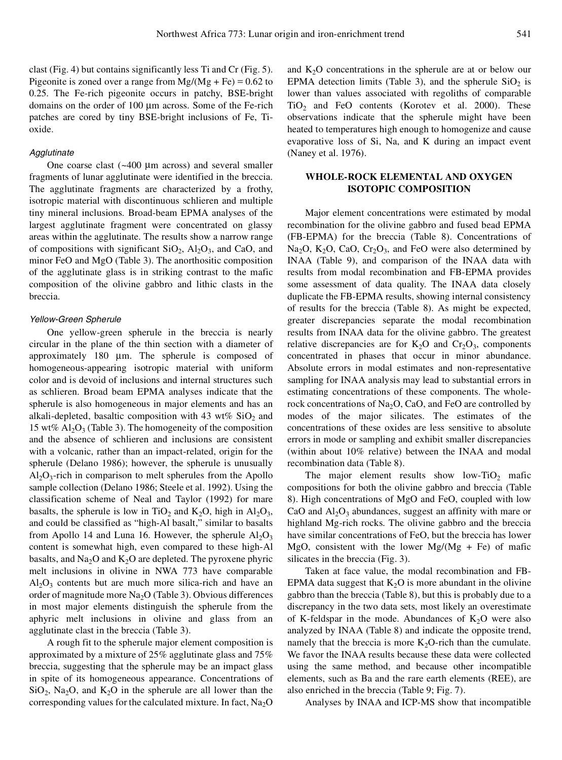clast (Fig. 4) but contains significantly less Ti and Cr (Fig. 5). Pigeonite is zoned over a range from  $Mg/(Mg + Fe) = 0.62$  to 0.25. The Fe-rich pigeonite occurs in patchy, BSE-bright domains on the order of 100 µm across. Some of the Fe-rich patches are cored by tiny BSE-bright inclusions of Fe, Tioxide.

#### *Agglutinate*

One coarse clast  $({\sim}400 \mu m)$  across) and several smaller fragments of lunar agglutinate were identified in the breccia. The agglutinate fragments are characterized by a frothy, isotropic material with discontinuous schlieren and multiple tiny mineral inclusions. Broad-beam EPMA analyses of the largest agglutinate fragment were concentrated on glassy areas within the agglutinate. The results show a narrow range of compositions with significant  $SiO_2$ ,  $Al_2O_3$ , and CaO, and minor FeO and MgO (Table 3). The anorthositic composition of the agglutinate glass is in striking contrast to the mafic composition of the olivine gabbro and lithic clasts in the breccia.

#### *Yellow-Green Spherule*

One yellow-green spherule in the breccia is nearly circular in the plane of the thin section with a diameter of approximately  $180 \mu m$ . The spherule is composed of homogeneous-appearing isotropic material with uniform color and is devoid of inclusions and internal structures such as schlieren. Broad beam EPMA analyses indicate that the spherule is also homogeneous in major elements and has an alkali-depleted, basaltic composition with 43 wt%  $SiO<sub>2</sub>$  and 15 wt%  $\text{Al}_2\text{O}_3$  (Table 3). The homogeneity of the composition and the absence of schlieren and inclusions are consistent with a volcanic, rather than an impact-related, origin for the spherule (Delano 1986); however, the spherule is unusually  $Al_2O_3$ -rich in comparison to melt spherules from the Apollo sample collection (Delano 1986; Steele et al. 1992). Using the classification scheme of Neal and Taylor (1992) for mare basalts, the spherule is low in TiO<sub>2</sub> and  $K_2O$ , high in  $Al_2O_3$ , and could be classified as "high-Al basalt," similar to basalts from Apollo 14 and Luna 16. However, the spherule  $Al_2O_3$ content is somewhat high, even compared to these high-Al basalts, and  $Na<sub>2</sub>O$  and  $K<sub>2</sub>O$  are depleted. The pyroxene phyric melt inclusions in olivine in NWA 773 have comparable  $Al_2O_3$  contents but are much more silica-rich and have an order of magnitude more  $Na<sub>2</sub>O$  (Table 3). Obvious differences in most major elements distinguish the spherule from the aphyric melt inclusions in olivine and glass from an agglutinate clast in the breccia (Table 3).

A rough fit to the spherule major element composition is approximated by a mixture of 25% agglutinate glass and 75% breccia, suggesting that the spherule may be an impact glass in spite of its homogeneous appearance. Concentrations of  $SiO_2$ , Na<sub>2</sub>O, and K<sub>2</sub>O in the spherule are all lower than the corresponding values for the calculated mixture. In fact,  $Na<sub>2</sub>O$ 

and  $K<sub>2</sub>O$  concentrations in the spherule are at or below our EPMA detection limits (Table 3), and the spherule  $SiO<sub>2</sub>$  is lower than values associated with regoliths of comparable  $TiO<sub>2</sub>$  and FeO contents (Korotev et al. 2000). These observations indicate that the spherule might have been heated to temperatures high enough to homogenize and cause evaporative loss of Si, Na, and K during an impact event (Naney et al. 1976).

# **WHOLE-ROCK ELEMENTAL AND OXYGEN ISOTOPIC COMPOSITION**

Major element concentrations were estimated by modal recombination for the olivine gabbro and fused bead EPMA (FB-EPMA) for the breccia (Table 8). Concentrations of  $Na<sub>2</sub>O$ ,  $K<sub>2</sub>O$ ,  $CaO$ ,  $Cr<sub>2</sub>O<sub>3</sub>$ , and FeO were also determined by INAA (Table 9), and comparison of the INAA data with results from modal recombination and FB-EPMA provides some assessment of data quality. The INAA data closely duplicate the FB-EPMA results, showing internal consistency of results for the breccia (Table 8). As might be expected, greater discrepancies separate the modal recombination results from INAA data for the olivine gabbro. The greatest relative discrepancies are for  $K_2O$  and  $Cr_2O_3$ , components concentrated in phases that occur in minor abundance. Absolute errors in modal estimates and non-representative sampling for INAA analysis may lead to substantial errors in estimating concentrations of these components. The wholerock concentrations of  $Na<sub>2</sub>O$ , CaO, and FeO are controlled by modes of the major silicates. The estimates of the concentrations of these oxides are less sensitive to absolute errors in mode or sampling and exhibit smaller discrepancies (within about 10% relative) between the INAA and modal recombination data (Table 8).

The major element results show low-TiO<sub>2</sub> mafic compositions for both the olivine gabbro and breccia (Table 8). High concentrations of MgO and FeO, coupled with low CaO and  $Al_2O_3$  abundances, suggest an affinity with mare or highland Mg-rich rocks. The olivine gabbro and the breccia have similar concentrations of FeO, but the breccia has lower MgO, consistent with the lower Mg/(Mg + Fe) of mafic silicates in the breccia (Fig. 3).

Taken at face value, the modal recombination and FB-EPMA data suggest that  $K<sub>2</sub>O$  is more abundant in the olivine gabbro than the breccia (Table 8), but this is probably due to a discrepancy in the two data sets, most likely an overestimate of K-feldspar in the mode. Abundances of  $K_2O$  were also analyzed by INAA (Table 8) and indicate the opposite trend, namely that the breccia is more  $K<sub>2</sub>O$ -rich than the cumulate. We favor the INAA results because these data were collected using the same method, and because other incompatible elements, such as Ba and the rare earth elements (REE), are also enriched in the breccia (Table 9; Fig. 7).

Analyses by INAA and ICP-MS show that incompatible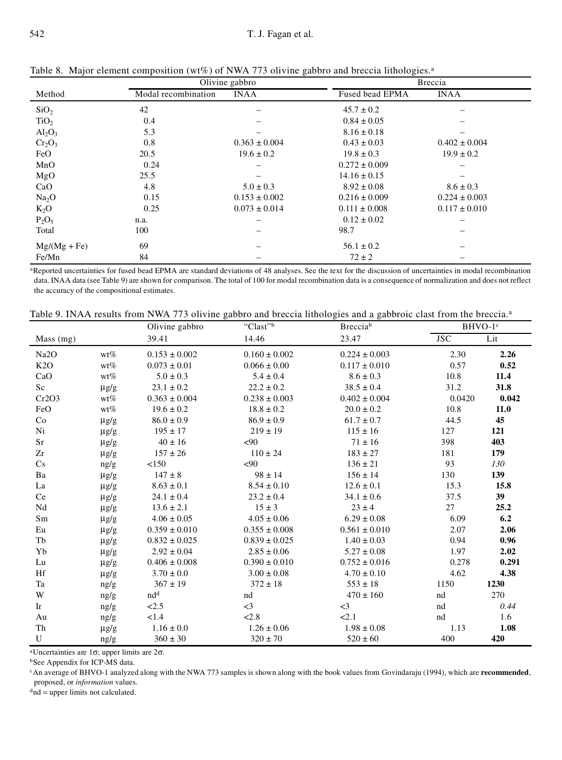|                                |                     | Olivine gabbro    | Breccia           |                   |  |
|--------------------------------|---------------------|-------------------|-------------------|-------------------|--|
| Method                         | Modal recombination | <b>INAA</b>       | Fused bead EPMA   | <b>INAA</b>       |  |
| SiO <sub>2</sub>               | 42                  |                   | $45.7 \pm 0.2$    |                   |  |
| TiO <sub>2</sub>               | 0.4                 |                   | $0.84 \pm 0.05$   |                   |  |
| Al <sub>2</sub> O <sub>3</sub> | 5.3                 |                   | $8.16 \pm 0.18$   |                   |  |
| $Cr_2O_3$                      | 0.8                 | $0.363 \pm 0.004$ | $0.43 \pm 0.03$   | $0.402 \pm 0.004$ |  |
| FeO                            | 20.5                | $19.6 \pm 0.2$    | $19.8 \pm 0.3$    | $19.9 \pm 0.2$    |  |
| MnO                            | 0.24                |                   | $0.272 \pm 0.009$ |                   |  |
| MgO                            | 25.5                |                   | $14.16 \pm 0.15$  |                   |  |
| CaO                            | 4.8                 | $5.0 \pm 0.3$     | $8.92 \pm 0.08$   | $8.6 \pm 0.3$     |  |
| Na <sub>2</sub> O              | 0.15                | $0.153 \pm 0.002$ | $0.216 \pm 0.009$ | $0.224 \pm 0.003$ |  |
| $K_2O$                         | 0.25                | $0.073 \pm 0.014$ | $0.111 \pm 0.008$ | $0.117 \pm 0.010$ |  |
| $P_2O_5$                       | n.a.                |                   | $0.12 \pm 0.02$   |                   |  |
| Total                          | 100                 |                   | 98.7              |                   |  |
| $Mg/(Mg + Fe)$                 | 69                  | -                 | $56.1 \pm 0.2$    |                   |  |
| Fe/Mn                          | 84                  |                   | $72 \pm 2$        |                   |  |

Table 8. Major element composition (wt%) of NWA 773 olivine gabbro and breccia lithologies.<sup>a</sup>

aReported uncertainties for fused bead EPMA are standard deviations of 48 analyses. See the text for the discussion of uncertainties in modal recombination data. INAA data (see Table 9) are shown for comparison. The total of 100 for modal recombination data is a consequence of normalization and does not reflect the accuracy of the compositional estimates.

| Table 9. INAA results from NWA 773 olivine gabbro and breccia lithologies and a gabbroic clast from the breccia. <sup>a</sup> |  |
|-------------------------------------------------------------------------------------------------------------------------------|--|
|-------------------------------------------------------------------------------------------------------------------------------|--|

|                   |           | Olivine gabbro    | "Clast"           | Brecciab          |            | BHVO-1 <sup>c</sup> |
|-------------------|-----------|-------------------|-------------------|-------------------|------------|---------------------|
| Mass (mg)         |           | 39.41             | 14.46             | 23.47             | <b>JSC</b> | Lit                 |
| Na <sub>2</sub> O | $wt\%$    | $0.153 \pm 0.002$ | $0.160 \pm 0.002$ | $0.224 \pm 0.003$ | 2.30       | 2.26                |
| K2O               | $wt\%$    | $0.073 \pm 0.01$  | $0.066 \pm 0.00$  | $0.117 \pm 0.010$ | 0.57       | 0.52                |
| CaO               | $wt\%$    | $5.0 \pm 0.3$     | $5.4 \pm 0.4$     | $8.6 \pm 0.3$     | 10.8       | 11.4                |
| Sc                | $\mu$ g/g | $23.1 \pm 0.2$    | $22.2 \pm 0.2$    | $38.5 \pm 0.4$    | 31.2       | 31.8                |
| Cr2O3             | $wt\%$    | $0.363 \pm 0.004$ | $0.238 \pm 0.003$ | $0.402 \pm 0.004$ | 0.0420     | 0.042               |
| FeO               | $wt\%$    | $19.6 \pm 0.2$    | $18.8 \pm 0.2$    | $20.0 \pm 0.2$    | 10.8       | 11.0                |
| Co                | $\mu$ g/g | $86.0 \pm 0.9$    | $86.9 \pm 0.9$    | $61.7 \pm 0.7$    | 44.5       | 45                  |
| Ni                | $\mu$ g/g | $195 \pm 17$      | $219 \pm 19$      | $115 \pm 16$      | 127        | 121                 |
| Sr                | $\mu$ g/g | $40 \pm 16$       | <90               | $71 \pm 16$       | 398        | 403                 |
| Zr                | $\mu$ g/g | $157 \pm 26$      | $110 \pm 24$      | $183 \pm 27$      | 181        | 179                 |
| Cs                | ng/g      | < 150             | < 90              | $136 \pm 21$      | 93         | 130                 |
| Ba                | $\mu$ g/g | $147 \pm 8$       | $98 \pm 14$       | $156 \pm 14$      | 130        | 139                 |
| La                | $\mu$ g/g | $8.63 \pm 0.1$    | $8.54 \pm 0.10$   | $12.6 \pm 0.1$    | 15.3       | 15.8                |
| Ce                | $\mu$ g/g | $24.1 \pm 0.4$    | $23.2 \pm 0.4$    | $34.1 \pm 0.6$    | 37.5       | 39                  |
| Nd                | $\mu$ g/g | $13.6 \pm 2.1$    | $15 \pm 3$        | $23 \pm 4$        | 27         | 25.2                |
| Sm                | $\mu$ g/g | $4.06 \pm 0.05$   | $4.05 \pm 0.06$   | $6.29 \pm 0.08$   | 6.09       | 6.2                 |
| Eu                | $\mu$ g/g | $0.359 \pm 0.010$ | $0.355 \pm 0.008$ | $0.561 \pm 0.010$ | 2.07       | 2.06                |
| Tb                | $\mu$ g/g | $0.832 \pm 0.025$ | $0.839 \pm 0.025$ | $1.40 \pm 0.03$   | 0.94       | 0.96                |
| Yb                | $\mu$ g/g | $2.92 \pm 0.04$   | $2.85 \pm 0.06$   | $5.27 \pm 0.08$   | 1.97       | 2.02                |
| Lu                | $\mu$ g/g | $0.406 \pm 0.008$ | $0.390 \pm 0.010$ | $0.752 \pm 0.016$ | 0.278      | 0.291               |
| Hf                | $\mu$ g/g | $3.70 \pm 0.0$    | $3.00 \pm 0.08$   | $4.70 \pm 0.10$   | 4.62       | 4.38                |
| Ta                | ng/g      | $367 \pm 19$      | $372 \pm 18$      | $553 \pm 18$      | 1150       | 1230                |
| W                 | ng/g      | nd <sup>d</sup>   | nd                | $470 \pm 160$     | nd         | 270                 |
| Ir                | ng/g      | 2.5               | $\leq$ 3          | $\leq$ 3          | nd         | 0.44                |
| Au                | ng/g      | 1.4               | 2.8               | 2.1               | nd         | 1.6                 |
| Th                | $\mu$ g/g | $1.16 \pm 0.0$    | $1.26 \pm 0.06$   | $1.98 \pm 0.08$   | 1.13       | 1.08                |
| U                 | ng/g      | $360 \pm 30$      | $320 \pm 70$      | $520 \pm 60$      | 400        | 420                 |

<sup>a</sup>Uncertainties are 1 $\sigma$ ; upper limits are 2 $\sigma$ .

<sup>b</sup>See Appendix for ICP-MS data.

<sup>c</sup>An average of BHVO-1 analyzed along with the NWA 773 samples is shown along with the book values from Govindaraju (1994), which are **recommended**, proposed, or *information* values.

 $d$ nd = upper limits not calculated.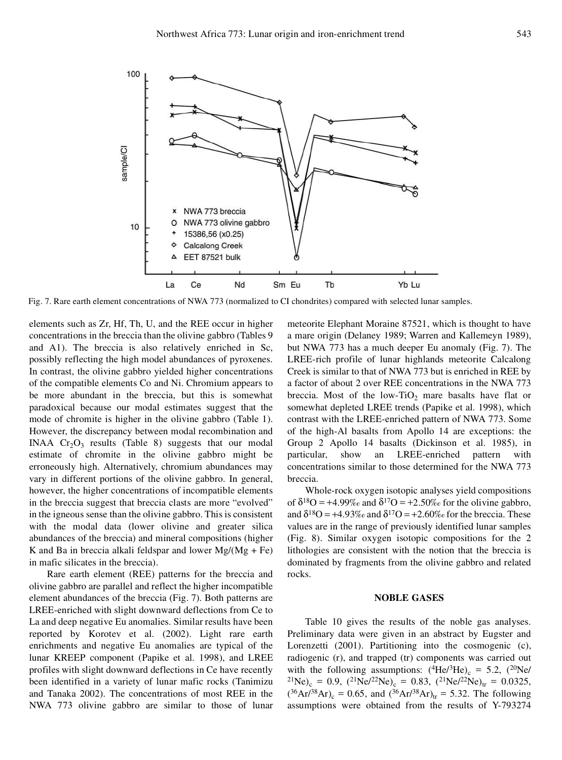

Fig. 7. Rare earth element concentrations of NWA 773 (normalized to CI chondrites) compared with selected lunar samples.

elements such as Zr, Hf, Th, U, and the REE occur in higher concentrations in the breccia than the olivine gabbro (Tables 9 and A1). The breccia is also relatively enriched in Sc, possibly reflecting the high model abundances of pyroxenes. In contrast, the olivine gabbro yielded higher concentrations of the compatible elements Co and Ni. Chromium appears to be more abundant in the breccia, but this is somewhat paradoxical because our modal estimates suggest that the mode of chromite is higher in the olivine gabbro (Table 1). However, the discrepancy between modal recombination and INAA  $Cr_2O_3$  results (Table 8) suggests that our modal estimate of chromite in the olivine gabbro might be erroneously high. Alternatively, chromium abundances may vary in different portions of the olivine gabbro. In general, however, the higher concentrations of incompatible elements in the breccia suggest that breccia clasts are more "evolved" in the igneous sense than the olivine gabbro. This is consistent with the modal data (lower olivine and greater silica abundances of the breccia) and mineral compositions (higher K and Ba in breccia alkali feldspar and lower  $Mg/(Mg + Fe)$ in mafic silicates in the breccia).

Rare earth element (REE) patterns for the breccia and olivine gabbro are parallel and reflect the higher incompatible element abundances of the breccia (Fig. 7). Both patterns are LREE-enriched with slight downward deflections from Ce to La and deep negative Eu anomalies. Similar results have been reported by Korotev et al. (2002). Light rare earth enrichments and negative Eu anomalies are typical of the lunar KREEP component (Papike et al. 1998), and LREE profiles with slight downward deflections in Ce have recently been identified in a variety of lunar mafic rocks (Tanimizu and Tanaka 2002). The concentrations of most REE in the NWA 773 olivine gabbro are similar to those of lunar

meteorite Elephant Moraine 87521, which is thought to have a mare origin (Delaney 1989; Warren and Kallemeyn 1989), but NWA 773 has a much deeper Eu anomaly (Fig. 7). The LREE-rich profile of lunar highlands meteorite Calcalong Creek is similar to that of NWA 773 but is enriched in REE by a factor of about 2 over REE concentrations in the NWA 773 breccia. Most of the low-TiO<sub>2</sub> mare basalts have flat or somewhat depleted LREE trends (Papike et al. 1998), which contrast with the LREE-enriched pattern of NWA 773. Some of the high-Al basalts from Apollo 14 are exceptions: the Group 2 Apollo 14 basalts (Dickinson et al. 1985), in show an LREE-enriched pattern with concentrations similar to those determined for the NWA 773 breccia.

Whole-rock oxygen isotopic analyses yield compositions of  $\delta^{18}O = +4.99\%$  and  $\delta^{17}O = +2.50\%$  for the olivine gabbro, and  $\delta^{18}O = +4.93\%$  and  $\delta^{17}O = +2.60\%$  for the breccia. These values are in the range of previously identified lunar samples (Fig. 8). Similar oxygen isotopic compositions for the 2 lithologies are consistent with the notion that the breccia is dominated by fragments from the olivine gabbro and related rocks.

#### **NOBLE GASES**

Table 10 gives the results of the noble gas analyses. Preliminary data were given in an abstract by Eugster and Lorenzetti (2001). Partitioning into the cosmogenic (c), radiogenic (r), and trapped (tr) components was carried out with the following assumptions:  $(^{4}He/^{3}He)_{c} = 5.2$ ,  $(^{20}Ne/$  $^{21}$ Ne)<sub>c</sub> = 0.9,  $(^{21}$ Ne/ $^{22}$ Ne)<sub>c</sub> = 0.83,  $(^{21}$ Ne/ $^{22}$ Ne)<sub>tr</sub> = 0.0325,  $(^{36}Ar^{38}Ar)_{c} = 0.65$ , and  $(^{36}Ar^{38}Ar)_{tr} = 5.32$ . The following assumptions were obtained from the results of Y-793274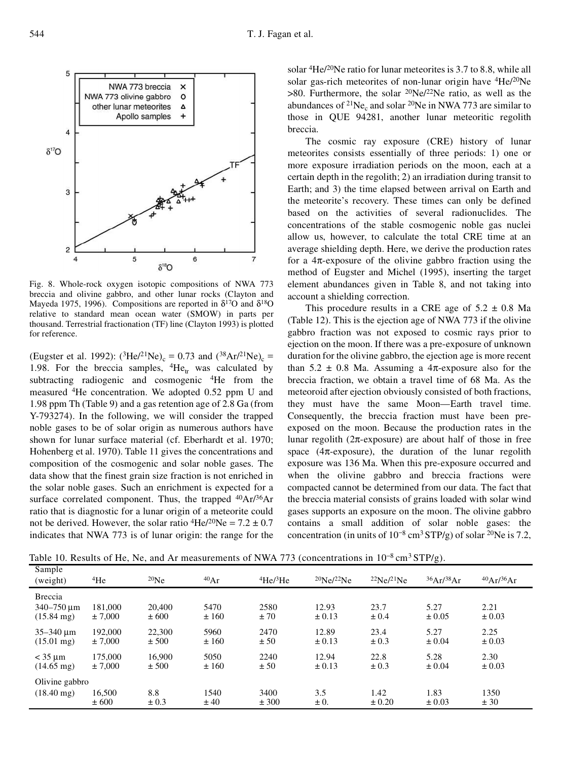

Fig. 8. Whole-rock oxygen isotopic compositions of NWA 773 breccia and olivine gabbro, and other lunar rocks (Clayton and Mayeda 1975, 1996). Compositions are reported in  $\delta^{17}O$  and  $\delta^{18}O$ relative to standard mean ocean water (SMOW) in parts per thousand. Terrestrial fractionation (TF) line (Clayton 1993) is plotted for reference.

(Eugster et al. 1992):  $({}^{3}He/{}^{21}Ne)_{c} = 0.73$  and  $({}^{38}Ar/{}^{21}Ne)_{c} =$ 1.98. For the breccia samples,  ${}^{4}He_{tr}$  was calculated by subtracting radiogenic and cosmogenic <sup>4</sup>He from the measured <sup>4</sup>He concentration. We adopted 0.52 ppm U and 1.98 ppm Th (Table 9) and a gas retention age of 2.8 Ga (from Y-793274). In the following, we will consider the trapped noble gases to be of solar origin as numerous authors have shown for lunar surface material (cf. Eberhardt et al. 1970; Hohenberg et al. 1970). Table 11 gives the concentrations and composition of the cosmogenic and solar noble gases. The data show that the finest grain size fraction is not enriched in the solar noble gases. Such an enrichment is expected for a surface correlated component. Thus, the trapped  $^{40}Ar/^{36}Ar$ ratio that is diagnostic for a lunar origin of a meteorite could not be derived. However, the solar ratio  ${}^{4}$ He/<sup>20</sup>Ne = 7.2  $\pm$  0.7 indicates that NWA 773 is of lunar origin: the range for the

solar <sup>4</sup>He/<sup>20</sup>Ne ratio for lunar meteorites is 3.7 to 8.8, while all solar gas-rich meteorites of non-lunar origin have <sup>4</sup>He/<sup>20</sup>Ne  $>80$ . Furthermore, the solar <sup>20</sup>Ne/<sup>22</sup>Ne ratio, as well as the abundances of <sup>21</sup>Ne<sub>c</sub> and solar <sup>20</sup>Ne in NWA 773 are similar to those in QUE 94281, another lunar meteoritic regolith breccia.

The cosmic ray exposure (CRE) history of lunar meteorites consists essentially of three periods: 1) one or more exposure irradiation periods on the moon, each at a certain depth in the regolith; 2) an irradiation during transit to Earth; and 3) the time elapsed between arrival on Earth and the meteorite's recovery. These times can only be defined based on the activities of several radionuclides. The concentrations of the stable cosmogenic noble gas nuclei allow us, however, to calculate the total CRE time at an average shielding depth. Here, we derive the production rates for a  $4\pi$ -exposure of the olivine gabbro fraction using the method of Eugster and Michel (1995), inserting the target element abundances given in Table 8, and not taking into account a shielding correction.

This procedure results in a CRE age of  $5.2 \pm 0.8$  Ma (Table 12). This is the ejection age of NWA 773 if the olivine gabbro fraction was not exposed to cosmic rays prior to ejection on the moon. If there was a pre-exposure of unknown duration for the olivine gabbro, the ejection age is more recent than  $5.2 \pm 0.8$  Ma. Assuming a  $4\pi$ -exposure also for the breccia fraction, we obtain a travel time of 68 Ma. As the meteoroid after ejection obviously consisted of both fractions, they must have the same Moon—Earth travel time. Consequently, the breccia fraction must have been preexposed on the moon. Because the production rates in the lunar regolith ( $2\pi$ -exposure) are about half of those in free space  $(4\pi$ -exposure), the duration of the lunar regolith exposure was 136 Ma. When this pre-exposure occurred and when the olivine gabbro and breccia fractions were compacted cannot be determined from our data. The fact that the breccia material consists of grains loaded with solar wind gases supports an exposure on the moon. The olivine gabbro contains a small addition of solar noble gases: the concentration (in units of  $10^{-8}$  cm<sup>3</sup> STP/g) of solar <sup>20</sup>Ne is 7.2,

Table 10. Results of He, Ne, and Ar measurements of NWA 773 (concentrations in  $10^{-8}$  cm<sup>3</sup> STP/g).

| Sample<br>(weight)                                                       | $4$ He             | $^{20}$ Ne       | $^{40}Ar$    | $^{4}$ He $/^{3}$ He | $^{20}$ Ne/ $^{22}$ Ne | $^{22}Ne/^{21}Ne$  | $36Ar^{38}Ar$      | $^{40}Ar/^{36}Ar$  |  |
|--------------------------------------------------------------------------|--------------------|------------------|--------------|----------------------|------------------------|--------------------|--------------------|--------------------|--|
|                                                                          |                    |                  |              |                      |                        |                    |                    |                    |  |
| <b>Breccia</b><br>$340 - 750 \,\mathrm{\upmu m}$<br>$(15.84 \text{ mg})$ | 181,000<br>± 7,000 | 20,400<br>± 600  | 5470<br>±160 | 2580<br>±70          | 12.93<br>$\pm 0.13$    | 23.7<br>$\pm 0.4$  | 5.27<br>$\pm 0.05$ | 2.21<br>$\pm 0.03$ |  |
| $35 - 340 \mu m$<br>$(15.01 \text{ mg})$                                 | 192,000<br>± 7,000 | 22,300<br>± 500  | 5960<br>±160 | 2470<br>± 50         | 12.89<br>$\pm 0.13$    | 23.4<br>$\pm 0.3$  | 5.27<br>$\pm 0.04$ | 2.25<br>$\pm 0.03$ |  |
| $<$ 35 $\mu$ m<br>$(14.65 \text{ mg})$                                   | 175,000<br>± 7,000 | 16.900<br>± 500  | 5050<br>±160 | 2240<br>± 50         | 12.94<br>$\pm 0.13$    | 22.8<br>$\pm 0.3$  | 5.28<br>$\pm 0.04$ | 2.30<br>$\pm 0.03$ |  |
| Olivine gabbro                                                           |                    |                  |              |                      |                        |                    |                    |                    |  |
| $(18.40 \,\mathrm{mg})$                                                  | 16,500<br>± 600    | 8.8<br>$\pm 0.3$ | 1540<br>± 40 | 3400<br>± 300        | 3.5<br>$\pm 0.$        | 1.42<br>$\pm 0.20$ | 1.83<br>$\pm 0.03$ | 1350<br>± 30       |  |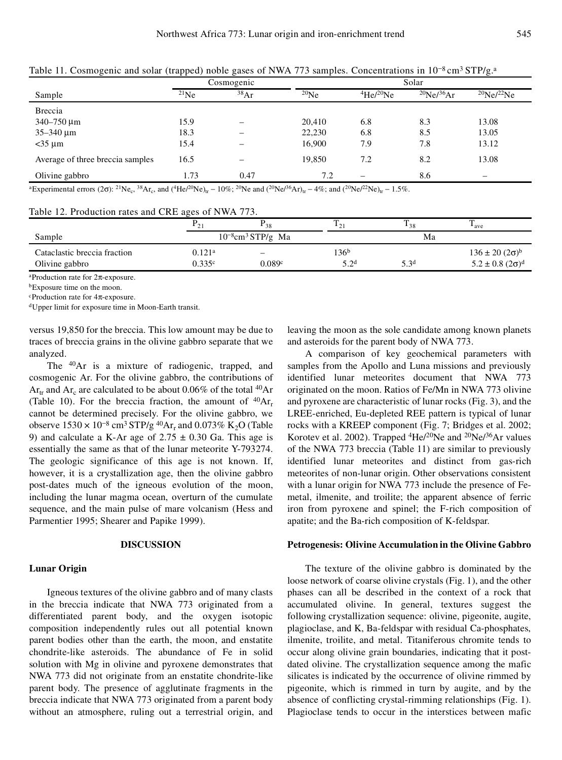|                                  | Cosmogenic |      |            |          | Solar                        |                          |
|----------------------------------|------------|------|------------|----------|------------------------------|--------------------------|
| Sample                           | $^{21}Ne$  | 38Ar | $^{20}$ Ne | 4He/20Ne | $^{20}$ Ne/ <sup>36</sup> Ar | $^{20}$ Ne/ $^{22}$ Ne   |
| <b>Breccia</b>                   |            |      |            |          |                              |                          |
| $340 - 750 \,\mu m$              | 15.9       |      | 20,410     | 6.8      | 8.3                          | 13.08                    |
| $35 - 340 \mu m$                 | 18.3       |      | 22,230     | 6.8      | 8.5                          | 13.05                    |
| $<$ 35 µm                        | 15.4       |      | 16,900     | 7.9      | 7.8                          | 13.12                    |
| Average of three breccia samples | 16.5       |      | 19,850     | 7.2      | 8.2                          | 13.08                    |
| Olivine gabbro                   | 1.73       | 0.47 | 7.2        | -        | 8.6                          | $\overline{\phantom{0}}$ |

Table 11. Cosmogenic and solar (trapped) noble gases of NWA 773 samples. Concentrations in  $10^{-8}$ cm<sup>3</sup> STP/g.<sup>a</sup>

 ${}^{4}$ Experimental errors (2 $\sigma$ ): <sup>21</sup>Ne<sub>c</sub>, <sup>38</sup>Ar<sub>c</sub>, and ( ${}^{4}$ He/<sup>20</sup>Ne)<sub>tr</sub> - 10%; <sup>20</sup>Ne and ( ${}^{20}$ Ne/<sup>36</sup>Ar)<sub>tr</sub> - 4%; and ( ${}^{20}$ Ne/<sup>22</sup>Ne)<sub>tr</sub> - 1.5%.

Table 12. Production rates and CRE ages of NWA 773.

|                                                | $\Gamma$ 2                     | $r_{38}$                           | 12                      | 138              | m<br>$_{ave}$                                                        |
|------------------------------------------------|--------------------------------|------------------------------------|-------------------------|------------------|----------------------------------------------------------------------|
| Sample                                         |                                | $10^{-8}$ cm <sup>3</sup> STP/g Ma | Ma                      |                  |                                                                      |
| Cataclastic breccia fraction<br>Olivine gabbro | $0.121$ <sup>a</sup><br>0.335c | 0.089c                             | 136 <sup>b</sup><br>50d | 5.3 <sup>d</sup> | $136 \pm 20 (2\sigma)^b$<br>$5.2 \pm 0.8$ (2 $\sigma$ ) <sup>d</sup> |

<sup>a</sup>Production rate for  $2\pi$ -exposure.

<sup>b</sup>Exposure time on the moon.

 $c$ Production rate for  $4\pi$ -exposure.

dUpper limit for exposure time in Moon-Earth transit.

versus 19,850 for the breccia. This low amount may be due to traces of breccia grains in the olivine gabbro separate that we analyzed.

The <sup>40</sup>Ar is a mixture of radiogenic, trapped, and cosmogenic Ar. For the olivine gabbro, the contributions of  $Ar<sub>tr</sub>$  and  $Ar<sub>c</sub>$  are calculated to be about 0.06% of the total <sup>40</sup>Ar (Table 10). For the breccia fraction, the amount of  ${}^{40}Ar_r$ cannot be determined precisely. For the olivine gabbro, we observe  $1530 \times 10^{-8}$  cm<sup>3</sup> STP/g<sup>40</sup>Ar<sub>r</sub> and 0.073% K<sub>2</sub>O (Table 9) and calculate a K-Ar age of  $2.75 \pm 0.30$  Ga. This age is essentially the same as that of the lunar meteorite Y-793274. The geologic significance of this age is not known. If, however, it is a crystallization age, then the olivine gabbro post-dates much of the igneous evolution of the moon, including the lunar magma ocean, overturn of the cumulate sequence, and the main pulse of mare volcanism (Hess and Parmentier 1995; Shearer and Papike 1999).

# **DISCUSSION**

#### **Lunar Origin**

Igneous textures of the olivine gabbro and of many clasts in the breccia indicate that NWA 773 originated from a differentiated parent body, and the oxygen isotopic composition independently rules out all potential known parent bodies other than the earth, the moon, and enstatite chondrite-like asteroids. The abundance of Fe in solid solution with Mg in olivine and pyroxene demonstrates that NWA 773 did not originate from an enstatite chondrite-like parent body. The presence of agglutinate fragments in the breccia indicate that NWA 773 originated from a parent body without an atmosphere, ruling out a terrestrial origin, and

leaving the moon as the sole candidate among known planets and asteroids for the parent body of NWA 773.

A comparison of key geochemical parameters with samples from the Apollo and Luna missions and previously identified lunar meteorites document that NWA 773 originated on the moon. Ratios of Fe/Mn in NWA 773 olivine and pyroxene are characteristic of lunar rocks (Fig. 3), and the LREE-enriched, Eu-depleted REE pattern is typical of lunar rocks with a KREEP component (Fig. 7; Bridges et al. 2002; Korotev et al. 2002). Trapped <sup>4</sup>He/<sup>20</sup>Ne and <sup>20</sup>Ne/<sup>36</sup>Ar values of the NWA 773 breccia (Table 11) are similar to previously identified lunar meteorites and distinct from gas-rich meteorites of non-lunar origin. Other observations consistent with a lunar origin for NWA 773 include the presence of Femetal, ilmenite, and troilite; the apparent absence of ferric iron from pyroxene and spinel; the F-rich composition of apatite; and the Ba-rich composition of K-feldspar.

# **Petrogenesis: Olivine Accumulation in the Olivine Gabbro**

The texture of the olivine gabbro is dominated by the loose network of coarse olivine crystals (Fig. 1), and the other phases can all be described in the context of a rock that accumulated olivine. In general, textures suggest the following crystallization sequence: olivine, pigeonite, augite, plagioclase, and K, Ba-feldspar with residual Ca-phosphates, ilmenite, troilite, and metal. Titaniferous chromite tends to occur along olivine grain boundaries, indicating that it postdated olivine. The crystallization sequence among the mafic silicates is indicated by the occurrence of olivine rimmed by pigeonite, which is rimmed in turn by augite, and by the absence of conflicting crystal-rimming relationships (Fig. 1). Plagioclase tends to occur in the interstices between mafic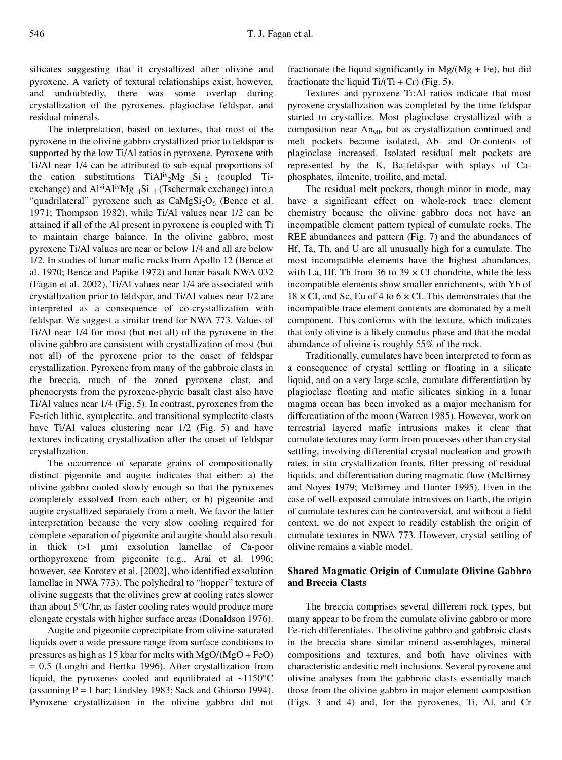silicates suggesting that it crystallized after olivine and pyroxene. A variety of textural relationships exist, however, and undoubtedly, there was some overlap during crystallization of the pyroxenes, plagioclase feldspar, and residual minerals.

The interpretation, based on textures, that most of the pyroxene in the olivine gabbro crystallized prior to feldspar is supported by the low Ti/Al ratios in pyroxene. Pyroxene with Ti/Al near 1/4 can be attributed to sub-equal proportions of the cation substitutions  $TiAl^{iv}{}_{2}Mg_{-1}Si_{-2}$  (coupled Tiexchange) and  $Al^{vi}Al^{iv}Mg_{-1}Si_{-1}$  (Tschermak exchange) into a "quadrilateral" pyroxene such as  $CaMgSi<sub>2</sub>O<sub>6</sub>$  (Bence et al. 1971; Thompson 1982), while Ti/Al values near 1/2 can be attained if all of the Al present in pyroxene is coupled with Ti to maintain charge balance. In the olivine gabbro, most pyroxene Ti/Al values are near or below 1/4 and all are below 1/2. In studies of lunar mafic rocks from Apollo 12 (Bence et al. 1970; Bence and Papike 1972) and lunar basalt NWA 032 (Fagan et al. 2002), Ti/Al values near 1/4 are associated with crystallization prior to feldspar, and Ti/Al values near 1/2 are interpreted as a consequence of co-crystallization with feldspar. We suggest a similar trend for NWA 773. Values of Ti/Al near 1/4 for most (but not all) of the pyroxene in the olivine gabbro are consistent with crystallization of most (but not all) of the pyroxene prior to the onset of feldspar crystallization. Pyroxene from many of the gabbroic clasts in the breccia, much of the zoned pyroxene clast, and phenocrysts from the pyroxene-phyric basalt clast also have Ti/Al values near 1/4 (Fig. 5). In contrast, pyroxenes from the Fe-rich lithic, symplectite, and transitional symplectite clasts have Ti/Al values clustering near  $1/2$  (Fig. 5) and have textures indicating crystallization after the onset of feldspar crystallization.

The occurrence of separate grains of compositionally distinct pigeonite and augite indicates that either: a) the olivine gabbro cooled slowly enough so that the pyroxenes completely exsolved from each other; or b) pigeonite and augite crystallized separately from a melt. We favor the latter interpretation because the very slow cooling required for complete separation of pigeonite and augite should also result in thick  $(>1 \mu m)$  exsolution lamellae of Ca-poor orthopyroxene from pigeonite (e.g., Arai et al. 1996; however, see Korotev et al. [2002], who identified exsolution lamellae in NWA 773). The polyhedral to "hopper" texture of olivine suggests that the olivines grew at cooling rates slower than about 5°C/hr, as faster cooling rates would produce more elongate crystals with higher surface areas (Donaldson 1976).

Augite and pigeonite coprecipitate from olivine-saturated liquids over a wide pressure range from surface conditions to pressures as high as 15 kbar for melts with MgO/(MgO + FeO) = 0.5 (Longhi and Bertka 1996). After crystallization from liquid, the pyroxenes cooled and equilibrated at  $\sim$ 1150°C (assuming  $P = 1$  bar; Lindsley 1983; Sack and Ghiorso 1994). Pyroxene crystallization in the olivine gabbro did not

fractionate the liquid significantly in  $Mg/(Mg + Fe)$ , but did fractionate the liquid  $Ti/(Ti + Cr)$  (Fig. 5).

Textures and pyroxene Ti:Al ratios indicate that most pyroxene crystallization was completed by the time feldspar started to crystallize. Most plagioclase crystallized with a composition near An<sub>90</sub>, but as crystallization continued and melt pockets became isolated, Ab- and Or-contents of plagioclase increased. Isolated residual melt pockets are represented by the K, Ba-feldspar with splays of Caphosphates, ilmenite, troilite, and metal.

The residual melt pockets, though minor in mode, may have a significant effect on whole-rock trace element chemistry because the olivine gabbro does not have an incompatible element pattern typical of cumulate rocks. The REE abundances and pattern (Fig. 7) and the abundances of Hf, Ta, Th, and U are all unusually high for a cumulate. The most incompatible elements have the highest abundances, with La, Hf, Th from 36 to  $39 \times CI$  chondrite, while the less incompatible elements show smaller enrichments, with Yb of  $18 \times CI$ , and Sc, Eu of 4 to 6  $\times CI$ . This demonstrates that the incompatible trace element contents are dominated by a melt component. This conforms with the texture, which indicates that only olivine is a likely cumulus phase and that the modal abundance of olivine is roughly 55% of the rock.

Traditionally, cumulates have been interpreted to form as a consequence of crystal settling or floating in a silicate liquid, and on a very large-scale, cumulate differentiation by plagioclase floating and mafic silicates sinking in a lunar magma ocean has been invoked as a major mechanism for differentiation of the moon (Warren 1985). However, work on terrestrial layered mafic intrusions makes it clear that cumulate textures may form from processes other than crystal settling, involving differential crystal nucleation and growth rates, in situ crystallization fronts, filter pressing of residual liquids, and differentiation during magmatic flow (McBirney and Noyes 1979; McBirney and Hunter 1995). Even in the case of well-exposed cumulate intrusives on Earth, the origin of cumulate textures can be controversial, and without a field context, we do not expect to readily establish the origin of cumulate textures in NWA 773. However, crystal settling of olivine remains a viable model.

# **Shared Magmatic Origin of Cumulate Olivine Gabbro and Breccia Clasts**

The breccia comprises several different rock types, but many appear to be from the cumulate olivine gabbro or more Fe-rich differentiates. The olivine gabbro and gabbroic clasts in the breccia share similar mineral assemblages, mineral compositions and textures, and both have olivines with characteristic andesitic melt inclusions. Several pyroxene and olivine analyses from the gabbroic clasts essentially match those from the olivine gabbro in major element composition (Figs. 3 and 4) and, for the pyroxenes, Ti, Al, and Cr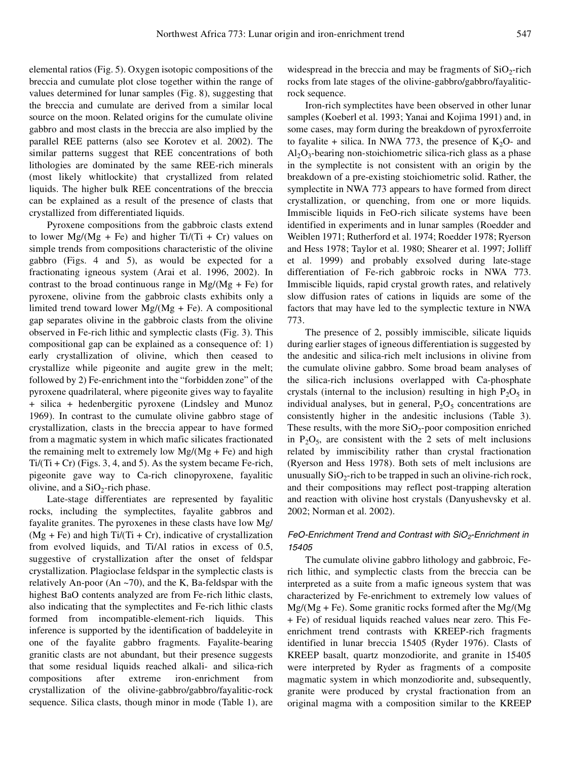elemental ratios (Fig. 5). Oxygen isotopic compositions of the breccia and cumulate plot close together within the range of values determined for lunar samples (Fig. 8), suggesting that the breccia and cumulate are derived from a similar local source on the moon. Related origins for the cumulate olivine gabbro and most clasts in the breccia are also implied by the parallel REE patterns (also see Korotev et al. 2002). The similar patterns suggest that REE concentrations of both lithologies are dominated by the same REE-rich minerals (most likely whitlockite) that crystallized from related liquids. The higher bulk REE concentrations of the breccia can be explained as a result of the presence of clasts that crystallized from differentiated liquids.

Pyroxene compositions from the gabbroic clasts extend to lower  $Mg/(Mg + Fe)$  and higher Ti/(Ti + Cr) values on simple trends from compositions characteristic of the olivine gabbro (Figs. 4 and 5), as would be expected for a fractionating igneous system (Arai et al. 1996, 2002). In contrast to the broad continuous range in  $Mg/(Mg + Fe)$  for pyroxene, olivine from the gabbroic clasts exhibits only a limited trend toward lower  $Mg/(Mg + Fe)$ . A compositional gap separates olivine in the gabbroic clasts from the olivine observed in Fe-rich lithic and symplectic clasts (Fig. 3). This compositional gap can be explained as a consequence of: 1) early crystallization of olivine, which then ceased to crystallize while pigeonite and augite grew in the melt; followed by 2) Fe-enrichment into the "forbidden zone" of the pyroxene quadrilateral, where pigeonite gives way to fayalite + silica + hedenbergitic pyroxene (Lindsley and Munoz 1969). In contrast to the cumulate olivine gabbro stage of crystallization, clasts in the breccia appear to have formed from a magmatic system in which mafic silicates fractionated the remaining melt to extremely low  $Mg/(Mg + Fe)$  and high  $Ti/(Ti + Cr)$  (Figs. 3, 4, and 5). As the system became Fe-rich, pigeonite gave way to Ca-rich clinopyroxene, fayalitic olivine, and a  $SiO<sub>2</sub>$ -rich phase.

Late-stage differentiates are represented by fayalitic rocks, including the symplectites, fayalite gabbros and fayalite granites. The pyroxenes in these clasts have low Mg/  $(Mg + Fe)$  and high Ti/(Ti + Cr), indicative of crystallization from evolved liquids, and Ti/Al ratios in excess of 0.5, suggestive of crystallization after the onset of feldspar crystallization. Plagioclase feldspar in the symplectic clasts is relatively An-poor (An ~70), and the K, Ba-feldspar with the highest BaO contents analyzed are from Fe-rich lithic clasts, also indicating that the symplectites and Fe-rich lithic clasts formed from incompatible-element-rich liquids. This inference is supported by the identification of baddeleyite in one of the fayalite gabbro fragments. Fayalite-bearing granitic clasts are not abundant, but their presence suggests that some residual liquids reached alkali- and silica-rich compositions after extreme iron-enrichment from crystallization of the olivine-gabbro/gabbro/fayalitic-rock sequence. Silica clasts, though minor in mode (Table 1), are

widespread in the breccia and may be fragments of  $SiO_2$ -rich rocks from late stages of the olivine-gabbro/gabbro/fayaliticrock sequence.

Iron-rich symplectites have been observed in other lunar samples (Koeberl et al. 1993; Yanai and Kojima 1991) and, in some cases, may form during the breakdown of pyroxferroite to fayalite + silica. In NWA 773, the presence of  $K_2O$ - and  $Al_2O_3$ -bearing non-stoichiometric silica-rich glass as a phase in the symplectite is not consistent with an origin by the breakdown of a pre-existing stoichiometric solid. Rather, the symplectite in NWA 773 appears to have formed from direct crystallization, or quenching, from one or more liquids. Immiscible liquids in FeO-rich silicate systems have been identified in experiments and in lunar samples (Roedder and Weiblen 1971; Rutherford et al. 1974; Roedder 1978; Ryerson and Hess 1978; Taylor et al. 1980; Shearer et al. 1997; Jolliff et al. 1999) and probably exsolved during late-stage differentiation of Fe-rich gabbroic rocks in NWA 773. Immiscible liquids, rapid crystal growth rates, and relatively slow diffusion rates of cations in liquids are some of the factors that may have led to the symplectic texture in NWA 773.

The presence of 2, possibly immiscible, silicate liquids during earlier stages of igneous differentiation is suggested by the andesitic and silica-rich melt inclusions in olivine from the cumulate olivine gabbro. Some broad beam analyses of the silica-rich inclusions overlapped with Ca-phosphate crystals (internal to the inclusion) resulting in high  $P_2O_5$  in individual analyses, but in general,  $P_2O_5$  concentrations are consistently higher in the andesitic inclusions (Table 3). These results, with the more  $SiO_2$ -poor composition enriched in  $P_2O_5$ , are consistent with the 2 sets of melt inclusions related by immiscibility rather than crystal fractionation (Ryerson and Hess 1978). Both sets of melt inclusions are unusually  $SiO_2$ -rich to be trapped in such an olivine-rich rock, and their compositions may reflect post-trapping alteration and reaction with olivine host crystals (Danyushevsky et al. 2002; Norman et al. 2002).

# *FeO-Enrichment Trend and Contrast with SiO2-Enrichment in 15405*

The cumulate olivine gabbro lithology and gabbroic, Ferich lithic, and symplectic clasts from the breccia can be interpreted as a suite from a mafic igneous system that was characterized by Fe-enrichment to extremely low values of  $Mg/(Mg + Fe)$ . Some granitic rocks formed after the Mg/(Mg + Fe) of residual liquids reached values near zero. This Feenrichment trend contrasts with KREEP-rich fragments identified in lunar breccia 15405 (Ryder 1976). Clasts of KREEP basalt, quartz monzodiorite, and granite in 15405 were interpreted by Ryder as fragments of a composite magmatic system in which monzodiorite and, subsequently, granite were produced by crystal fractionation from an original magma with a composition similar to the KREEP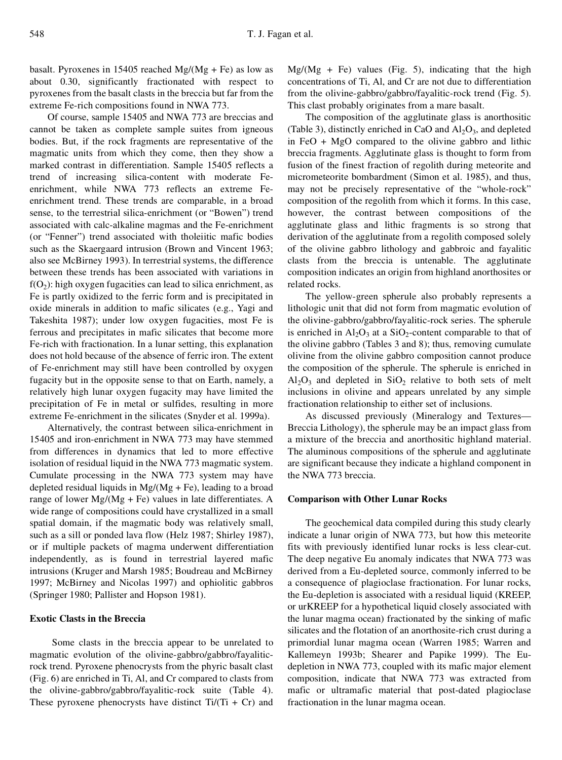basalt. Pyroxenes in 15405 reached  $Mg/(Mg + Fe)$  as low as about 0.30, significantly fractionated with respect to pyroxenes from the basalt clasts in the breccia but far from the extreme Fe-rich compositions found in NWA 773.

Of course, sample 15405 and NWA 773 are breccias and cannot be taken as complete sample suites from igneous bodies. But, if the rock fragments are representative of the magmatic units from which they come, then they show a marked contrast in differentiation. Sample 15405 reflects a trend of increasing silica-content with moderate Feenrichment, while NWA 773 reflects an extreme Feenrichment trend. These trends are comparable, in a broad sense, to the terrestrial silica-enrichment (or "Bowen") trend associated with calc-alkaline magmas and the Fe-enrichment (or "Fenner") trend associated with tholeiitic mafic bodies such as the Skaergaard intrusion (Brown and Vincent 1963; also see McBirney 1993). In terrestrial systems, the difference between these trends has been associated with variations in  $f(O_2)$ : high oxygen fugacities can lead to silica enrichment, as Fe is partly oxidized to the ferric form and is precipitated in oxide minerals in addition to mafic silicates (e.g., Yagi and Takeshita 1987); under low oxygen fugacities, most Fe is ferrous and precipitates in mafic silicates that become more Fe-rich with fractionation. In a lunar setting, this explanation does not hold because of the absence of ferric iron. The extent of Fe-enrichment may still have been controlled by oxygen fugacity but in the opposite sense to that on Earth, namely, a relatively high lunar oxygen fugacity may have limited the precipitation of Fe in metal or sulfides, resulting in more extreme Fe-enrichment in the silicates (Snyder et al. 1999a).

Alternatively, the contrast between silica-enrichment in 15405 and iron-enrichment in NWA 773 may have stemmed from differences in dynamics that led to more effective isolation of residual liquid in the NWA 773 magmatic system. Cumulate processing in the NWA 773 system may have depleted residual liquids in  $Mg/(Mg + Fe)$ , leading to a broad range of lower  $Mg/(Mg + Fe)$  values in late differentiates. A wide range of compositions could have crystallized in a small spatial domain, if the magmatic body was relatively small, such as a sill or ponded lava flow (Helz 1987; Shirley 1987), or if multiple packets of magma underwent differentiation independently, as is found in terrestrial layered mafic intrusions (Kruger and Marsh 1985; Boudreau and McBirney 1997; McBirney and Nicolas 1997) and ophiolitic gabbros (Springer 1980; Pallister and Hopson 1981).

# **Exotic Clasts in the Breccia**

Some clasts in the breccia appear to be unrelated to magmatic evolution of the olivine-gabbro/gabbro/fayaliticrock trend. Pyroxene phenocrysts from the phyric basalt clast (Fig. 6) are enriched in Ti, Al, and Cr compared to clasts from the olivine-gabbro/gabbro/fayalitic-rock suite (Table 4). These pyroxene phenocrysts have distinct  $Ti/(Ti + Cr)$  and

 $Mg/(Mg + Fe)$  values (Fig. 5), indicating that the high concentrations of Ti, Al, and Cr are not due to differentiation from the olivine-gabbro/gabbro/fayalitic-rock trend (Fig. 5). This clast probably originates from a mare basalt.

The composition of the agglutinate glass is anorthositic (Table 3), distinctly enriched in CaO and  $Al_2O_3$ , and depleted in FeO + MgO compared to the olivine gabbro and lithic breccia fragments. Agglutinate glass is thought to form from fusion of the finest fraction of regolith during meteorite and micrometeorite bombardment (Simon et al. 1985), and thus, may not be precisely representative of the "whole-rock" composition of the regolith from which it forms. In this case, however, the contrast between compositions of the agglutinate glass and lithic fragments is so strong that derivation of the agglutinate from a regolith composed solely of the olivine gabbro lithology and gabbroic and fayalitic clasts from the breccia is untenable. The agglutinate composition indicates an origin from highland anorthosites or related rocks.

The yellow-green spherule also probably represents a lithologic unit that did not form from magmatic evolution of the olivine-gabbro/gabbro/fayalitic-rock series. The spherule is enriched in  $Al_2O_3$  at a  $SiO_2$ -content comparable to that of the olivine gabbro (Tables 3 and 8); thus, removing cumulate olivine from the olivine gabbro composition cannot produce the composition of the spherule. The spherule is enriched in  $Al_2O_3$  and depleted in  $SiO_2$  relative to both sets of melt inclusions in olivine and appears unrelated by any simple fractionation relationship to either set of inclusions.

As discussed previously (Mineralogy and Textures— Breccia Lithology), the spherule may be an impact glass from a mixture of the breccia and anorthositic highland material. The aluminous compositions of the spherule and agglutinate are significant because they indicate a highland component in the NWA 773 breccia.

#### **Comparison with Other Lunar Rocks**

The geochemical data compiled during this study clearly indicate a lunar origin of NWA 773, but how this meteorite fits with previously identified lunar rocks is less clear-cut. The deep negative Eu anomaly indicates that NWA 773 was derived from a Eu-depleted source, commonly inferred to be a consequence of plagioclase fractionation. For lunar rocks, the Eu-depletion is associated with a residual liquid (KREEP, or urKREEP for a hypothetical liquid closely associated with the lunar magma ocean) fractionated by the sinking of mafic silicates and the flotation of an anorthosite-rich crust during a primordial lunar magma ocean (Warren 1985; Warren and Kallemeyn 1993b; Shearer and Papike 1999). The Eudepletion in NWA 773, coupled with its mafic major element composition, indicate that NWA 773 was extracted from mafic or ultramafic material that post-dated plagioclase fractionation in the lunar magma ocean.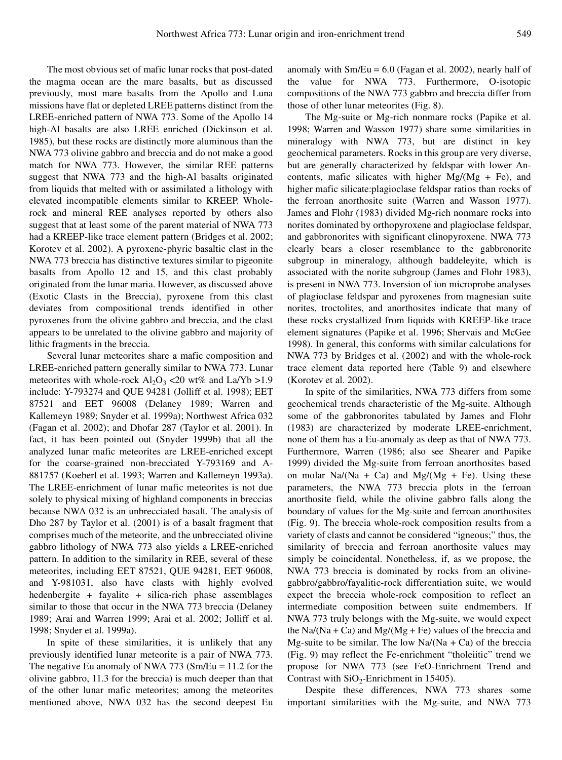The most obvious set of mafic lunar rocks that post-dated the magma ocean are the mare basalts, but as discussed previously, most mare basalts from the Apollo and Luna missions have flat or depleted LREE patterns distinct from the LREE-enriched pattern of NWA 773. Some of the Apollo 14 high-Al basalts are also LREE enriched (Dickinson et al. 1985), but these rocks are distinctly more aluminous than the NWA 773 olivine gabbro and breccia and do not make a good match for NWA 773. However, the similar REE patterns suggest that NWA 773 and the high-Al basalts originated from liquids that melted with or assimilated a lithology with elevated incompatible elements similar to KREEP. Wholerock and mineral REE analyses reported by others also suggest that at least some of the parent material of NWA 773 had a KREEP-like trace element pattern (Bridges et al. 2002; Korotev et al. 2002). A pyroxene-phyric basaltic clast in the NWA 773 breccia has distinctive textures similar to pigeonite basalts from Apollo 12 and 15, and this clast probably originated from the lunar maria. However, as discussed above (Exotic Clasts in the Breccia), pyroxene from this clast deviates from compositional trends identified in other pyroxenes from the olivine gabbro and breccia, and the clast appears to be unrelated to the olivine gabbro and majority of lithic fragments in the breccia.

Several lunar meteorites share a mafic composition and LREE-enriched pattern generally similar to NWA 773. Lunar meteorites with whole-rock  $Al_2O_3$  <20 wt% and La/Yb >1.9 include: Y-793274 and QUE 94281 (Jolliff et al. 1998); EET 87521 and EET 96008 (Delaney 1989; Warren and Kallemeyn 1989; Snyder et al. 1999a); Northwest Africa 032 (Fagan et al. 2002); and Dhofar 287 (Taylor et al. 2001). In fact, it has been pointed out (Snyder 1999b) that all the analyzed lunar mafic meteorites are LREE-enriched except for the coarse-grained non-brecciated Y-793169 and A-881757 (Koeberl et al. 1993; Warren and Kallemeyn 1993a). The LREE-enrichment of lunar mafic meteorites is not due solely to physical mixing of highland components in breccias because NWA 032 is an unbrecciated basalt. The analysis of Dho 287 by Taylor et al. (2001) is of a basalt fragment that comprises much of the meteorite, and the unbrecciated olivine gabbro lithology of NWA 773 also yields a LREE-enriched pattern. In addition to the similarity in REE, several of these meteorites, including EET 87521, QUE 94281, EET 96008, and Y-981031, also have clasts with highly evolved hedenbergite + fayalite + silica-rich phase assemblages similar to those that occur in the NWA 773 breccia (Delaney 1989; Arai and Warren 1999; Arai et al. 2002; Jolliff et al. 1998; Snyder et al. 1999a).

In spite of these similarities, it is unlikely that any previously identified lunar meteorite is a pair of NWA 773. The negative Eu anomaly of NWA 773 (Sm/Eu = 11.2 for the olivine gabbro, 11.3 for the breccia) is much deeper than that of the other lunar mafic meteorites; among the meteorites mentioned above, NWA 032 has the second deepest Eu anomaly with  $Sm/Eu = 6.0$  (Fagan et al. 2002), nearly half of the value for NWA 773. Furthermore, O-isotopic compositions of the NWA 773 gabbro and breccia differ from those of other lunar meteorites (Fig. 8).

The Mg-suite or Mg-rich nonmare rocks (Papike et al. 1998; Warren and Wasson 1977) share some similarities in mineralogy with NWA 773, but are distinct in key geochemical parameters. Rocks in this group are very diverse, but are generally characterized by feldspar with lower Ancontents, mafic silicates with higher  $Mg/(Mg + Fe)$ , and higher mafic silicate:plagioclase feldspar ratios than rocks of the ferroan anorthosite suite (Warren and Wasson 1977). James and Flohr (1983) divided Mg-rich nonmare rocks into norites dominated by orthopyroxene and plagioclase feldspar, and gabbronorites with significant clinopyroxene. NWA 773 clearly bears a closer resemblance to the gabbronorite subgroup in mineralogy, although baddeleyite, which is associated with the norite subgroup (James and Flohr 1983), is present in NWA 773. Inversion of ion microprobe analyses of plagioclase feldspar and pyroxenes from magnesian suite norites, troctolites, and anorthosites indicate that many of these rocks crystallized from liquids with KREEP-like trace element signatures (Papike et al. 1996; Shervais and McGee 1998). In general, this conforms with similar calculations for NWA 773 by Bridges et al. (2002) and with the whole-rock trace element data reported here (Table 9) and elsewhere (Korotev et al. 2002).

In spite of the similarities, NWA 773 differs from some geochemical trends characteristic of the Mg-suite. Although some of the gabbronorites tabulated by James and Flohr (1983) are characterized by moderate LREE-enrichment, none of them has a Eu-anomaly as deep as that of NWA 773. Furthermore, Warren (1986; also see Shearer and Papike 1999) divided the Mg-suite from ferroan anorthosites based on molar  $Na/(Na + Ca)$  and  $Mg/(Mg + Fe)$ . Using these parameters, the NWA 773 breccia plots in the ferroan anorthosite field, while the olivine gabbro falls along the boundary of values for the Mg-suite and ferroan anorthosites (Fig. 9). The breccia whole-rock composition results from a variety of clasts and cannot be considered "igneous;" thus, the similarity of breccia and ferroan anorthosite values may simply be coincidental. Nonetheless, if, as we propose, the NWA 773 breccia is dominated by rocks from an olivinegabbro/gabbro/fayalitic-rock differentiation suite, we would expect the breccia whole-rock composition to reflect an intermediate composition between suite endmembers. If NWA 773 truly belongs with the Mg-suite, we would expect the Na/(Na + Ca) and Mg/(Mg + Fe) values of the breccia and Mg-suite to be similar. The low  $Na/(Na + Ca)$  of the breccia (Fig. 9) may reflect the Fe-enrichment "tholeiitic" trend we propose for NWA 773 (see FeO-Enrichment Trend and Contrast with  $SiO_2$ -Enrichment in 15405).

Despite these differences, NWA 773 shares some important similarities with the Mg-suite, and NWA 773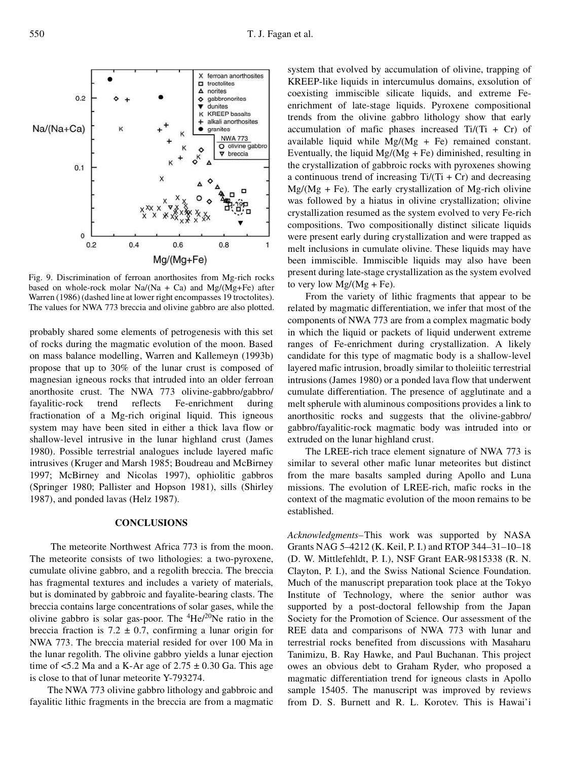Fig. 9. Discrimination of ferroan anorthosites from Mg-rich rocks based on whole-rock molar  $Na/(Na + Ca)$  and  $Mg/(Mg + Fe)$  after Warren (1986) (dashed line at lower right encompasses 19 troctolites). The values for NWA 773 breccia and olivine gabbro are also plotted.

probably shared some elements of petrogenesis with this set of rocks during the magmatic evolution of the moon. Based on mass balance modelling, Warren and Kallemeyn (1993b) propose that up to 30% of the lunar crust is composed of magnesian igneous rocks that intruded into an older ferroan anorthosite crust. The NWA 773 olivine-gabbro/gabbro/ fayalitic-rock trend reflects Fe-enrichment during fractionation of a Mg-rich original liquid. This igneous system may have been sited in either a thick lava flow or shallow-level intrusive in the lunar highland crust (James 1980). Possible terrestrial analogues include layered mafic intrusives (Kruger and Marsh 1985; Boudreau and McBirney 1997; McBirney and Nicolas 1997), ophiolitic gabbros (Springer 1980; Pallister and Hopson 1981), sills (Shirley 1987), and ponded lavas (Helz 1987).

# **CONCLUSIONS**

The meteorite Northwest Africa 773 is from the moon. The meteorite consists of two lithologies: a two-pyroxene, cumulate olivine gabbro, and a regolith breccia. The breccia has fragmental textures and includes a variety of materials, but is dominated by gabbroic and fayalite-bearing clasts. The breccia contains large concentrations of solar gases, while the olivine gabbro is solar gas-poor. The  ${}^{4}$ He/ ${}^{20}$ Ne ratio in the breccia fraction is 7.2  $\pm$  0.7, confirming a lunar origin for NWA 773. The breccia material resided for over 100 Ma in the lunar regolith. The olivine gabbro yields a lunar ejection time of  $\leq 5.2$  Ma and a K-Ar age of  $2.75 \pm 0.30$  Ga. This age is close to that of lunar meteorite Y-793274.

The NWA 773 olivine gabbro lithology and gabbroic and fayalitic lithic fragments in the breccia are from a magmatic

system that evolved by accumulation of olivine, trapping of KREEP-like liquids in intercumulus domains, exsolution of coexisting immiscible silicate liquids, and extreme Feenrichment of late-stage liquids. Pyroxene compositional trends from the olivine gabbro lithology show that early accumulation of mafic phases increased  $Ti/(Ti + Cr)$  of available liquid while  $Mg/(Mg + Fe)$  remained constant. Eventually, the liquid  $Mg/(Mg + Fe)$  diminished, resulting in the crystallization of gabbroic rocks with pyroxenes showing a continuous trend of increasing  $Ti/(Ti + Cr)$  and decreasing  $Mg/(Mg + Fe)$ . The early crystallization of Mg-rich olivine was followed by a hiatus in olivine crystallization; olivine crystallization resumed as the system evolved to very Fe-rich compositions. Two compositionally distinct silicate liquids were present early during crystallization and were trapped as melt inclusions in cumulate olivine. These liquids may have been immiscible. Immiscible liquids may also have been present during late-stage crystallization as the system evolved to very low  $Mg/(Mg + Fe)$ .

From the variety of lithic fragments that appear to be related by magmatic differentiation, we infer that most of the components of NWA 773 are from a complex magmatic body in which the liquid or packets of liquid underwent extreme ranges of Fe-enrichment during crystallization. A likely candidate for this type of magmatic body is a shallow-level layered mafic intrusion, broadly similar to tholeiitic terrestrial intrusions (James 1980) or a ponded lava flow that underwent cumulate differentiation. The presence of agglutinate and a melt spherule with aluminous compositions provides a link to anorthositic rocks and suggests that the olivine-gabbro/ gabbro/fayalitic-rock magmatic body was intruded into or extruded on the lunar highland crust.

The LREE-rich trace element signature of NWA 773 is similar to several other mafic lunar meteorites but distinct from the mare basalts sampled during Apollo and Luna missions. The evolution of LREE-rich, mafic rocks in the context of the magmatic evolution of the moon remains to be established.

*Acknowledgments–*This work was supported by NASA Grants NAG 5–4212 (K. Keil, P. I.) and RTOP 344–31–10–18 (D. W. Mittlefehldt, P. I.), NSF Grant EAR-9815338 (R. N. Clayton, P. I.), and the Swiss National Science Foundation. Much of the manuscript preparation took place at the Tokyo Institute of Technology, where the senior author was supported by a post-doctoral fellowship from the Japan Society for the Promotion of Science. Our assessment of the REE data and comparisons of NWA 773 with lunar and terrestrial rocks benefited from discussions with Masaharu Tanimizu, B. Ray Hawke, and Paul Buchanan. This project owes an obvious debt to Graham Ryder, who proposed a magmatic differentiation trend for igneous clasts in Apollo sample 15405. The manuscript was improved by reviews from D. S. Burnett and R. L. Korotev. This is Hawai'i

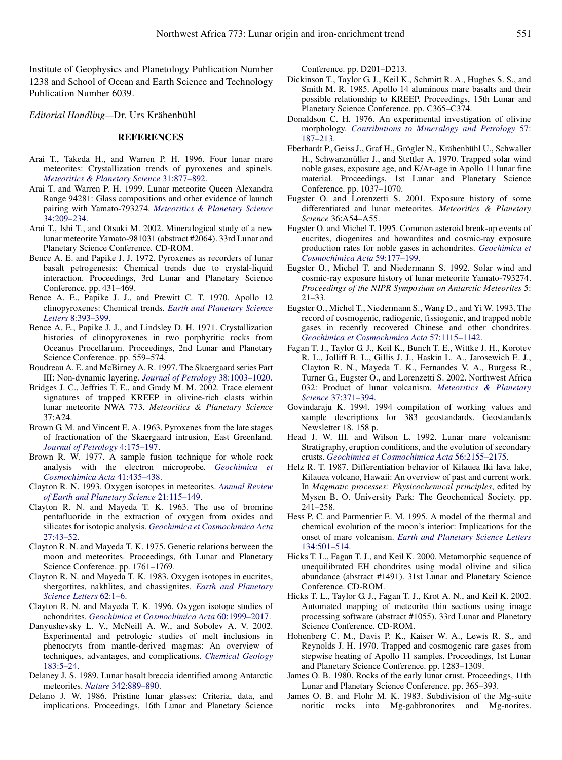Institute of Geophysics and Planetology Publication Number 1238 and School of Ocean and Earth Science and Technology Publication Number 6039.

*Editorial Handling—*Dr. Urs Krähenbühl

#### **REFERENCES**

- Arai T., Takeda H., and Warren P. H. 1996. Four lunar mare meteorites: Crystallization trends of pyroxenes and spinels. *[Meteoritics & Planetary Science](http://www.ingentaconnect.com/content/external-references?article=/1086-9379^28^2931L.877[aid=5142901])* 31:877–892.
- Arai T. and Warren P. H. 1999. Lunar meteorite Queen Alexandra Range 94281: Glass compositions and other evidence of launch pairing with Yamato-793274. *[Meteoritics & Planetary Science](http://www.ingentaconnect.com/content/external-references?article=/1086-9379^28^2934L.209[aid=5142900])* [34:209–234.](http://www.ingentaconnect.com/content/external-references?article=/1086-9379^28^2934L.209[aid=5142900])
- Arai T., Ishi T., and Otsuki M. 2002. Mineralogical study of a new lunar meteorite Yamato-981031 (abstract #2064). 33rd Lunar and Planetary Science Conference. CD-ROM.
- Bence A. E. and Papike J. J. 1972. Pyroxenes as recorders of lunar basalt petrogenesis: Chemical trends due to crystal-liquid interaction. Proceedings, 3rd Lunar and Planetary Science Conference. pp. 431–469.
- Bence A. E., Papike J. J., and Prewitt C. T. 1970. Apollo 12 clinopyroxenes: Chemical trends. *[Earth and Planetary Science](http://www.ingentaconnect.com/content/external-references?article=/0012-821X^28^298L.393[aid=5142920]) Letters* [8:393–399.](http://www.ingentaconnect.com/content/external-references?article=/0012-821X^28^298L.393[aid=5142920])
- Bence A. E., Papike J. J., and Lindsley D. H. 1971. Crystallization histories of clinopyroxenes in two porphyritic rocks from Oceanus Procellarum. Proceedings, 2nd Lunar and Planetary Science Conference. pp. 559–574.
- Boudreau A. E. and McBirney A. R. 1997. The Skaergaard series Part III: Non-dynamic layering. *[Journal of Petrology](http://www.ingentaconnect.com/content/external-references?article=/0022-3530^28^2938L.1003[aid=5142921])* 38:1003–1020.
- Bridges J. C., Jeffries T. E., and Grady M. M. 2002. Trace element signatures of trapped KREEP in olivine-rich clasts within lunar meteorite NWA 773. *Meteoritics & Planetary Science* 37:A24.
- Brown G. M. and Vincent E. A. 1963. Pyroxenes from the late stages of fractionation of the Skaergaard intrusion, East Greenland. *[Journal of Petrology](http://www.ingentaconnect.com/content/external-references?article=/0022-3530^28^294L.175[aid=5142922])* 4:175–197.
- Brown R. W. 1977. A sample fusion technique for whole rock analysis with the electron microprobe. *[Geochimica et](http://www.ingentaconnect.com/content/external-references?article=/0016-7037^28^2941L.435[aid=5142923]) [Cosmochimica Acta](http://www.ingentaconnect.com/content/external-references?article=/0016-7037^28^2941L.435[aid=5142923])* 41:435–438.
- Clayton R. N. 1993. Oxygen isotopes in meteorites. *[Annual Review](http://www.ingentaconnect.com/content/external-references?article=/0084-6597^28^2921L.115[aid=1466826]) [of Earth and Planetary Science](http://www.ingentaconnect.com/content/external-references?article=/0084-6597^28^2921L.115[aid=1466826])* 21:115–149.
- Clayton R. N. and Mayeda T. K. 1963. The use of bromine pentafluoride in the extraction of oxygen from oxides and silicates for isotopic analysis. *[Geochimica et Cosmochimica Acta](http://www.ingentaconnect.com/content/external-references?article=/0016-7037^28^2927L.43[aid=210647])* [27:43–52.](http://www.ingentaconnect.com/content/external-references?article=/0016-7037^28^2927L.43[aid=210647])
- Clayton R. N. and Mayeda T. K. 1975. Genetic relations between the moon and meteorites. Proceedings, 6th Lunar and Planetary Science Conference. pp. 1761–1769.
- Clayton R. N. and Mayeda T. K. 1983. Oxygen isotopes in eucrites, shergottites, nakhlites, and chassignites. *[Earth and Planetary](http://www.ingentaconnect.com/content/external-references?article=/0012-821X^28^2962L.1[aid=1467140]) [Science Letters](http://www.ingentaconnect.com/content/external-references?article=/0012-821X^28^2962L.1[aid=1467140])* 62:1–6.
- Clayton R. N. and Mayeda T. K. 1996. Oxygen isotope studies of achondrites. *[Geochimica et Cosmochimica Acta](http://www.ingentaconnect.com/content/external-references?article=/0016-7037^28^2960L.1999[aid=1467130])* 60:1999–2017.
- Danyushevsky L. V., McNeill A. W., and Sobolev A. V. 2002. Experimental and petrologic studies of melt inclusions in phenocryts from mantle-derived magmas: An overview of techniques, advantages, and complications. *[Chemical Geology](http://www.ingentaconnect.com/content/external-references?article=/0009-2541^28^29183L.5[aid=5142924])* [183:5–24.](http://www.ingentaconnect.com/content/external-references?article=/0009-2541^28^29183L.5[aid=5142924])
- Delaney J. S. 1989. Lunar basalt breccia identified among Antarctic meteorites. *Nature* [342:889–890.](http://www.ingentaconnect.com/content/external-references?article=/0028-0836^28^29342L.889[aid=5142925])
- Delano J. W. 1986. Pristine lunar glasses: Criteria, data, and implications. Proceedings, 16th Lunar and Planetary Science

Conference. pp. D201–D213.

- Dickinson T., Taylor G. J., Keil K., Schmitt R. A., Hughes S. S., and Smith M. R. 1985. Apollo 14 aluminous mare basalts and their possible relationship to KREEP. Proceedings, 15th Lunar and Planetary Science Conference. pp. C365–C374.
- Donaldson C. H. 1976. An experimental investigation of olivine morphology. *[Contributions to Mineralogy and Petrology](http://www.ingentaconnect.com/content/external-references?article=/0010-7999^28^2957L.187[aid=866430])* 57: [187–213.](http://www.ingentaconnect.com/content/external-references?article=/0010-7999^28^2957L.187[aid=866430])
- Eberhardt P., Geiss J., Graf H., Grögler N., Krähenbühl U., Schwaller H., Schwarzmüller J., and Stettler A. 1970. Trapped solar wind noble gases, exposure age, and K/Ar-age in Apollo 11 lunar fine material. Proceedings, 1st Lunar and Planetary Science Conference. pp. 1037–1070.
- Eugster O. and Lorenzetti S. 2001. Exposure history of some differentiated and lunar meteorites. *Meteoritics & Planetary Science* 36:A54–A55.
- Eugster O. and Michel T. 1995. Common asteroid break-up events of eucrites, diogenites and howardites and cosmic-ray exposure production rates for noble gases in achondrites. *[Geochimica et](http://www.ingentaconnect.com/content/external-references?article=/0016-7037^28^2959L.177[aid=5142926]) [Cosmochimica Acta](http://www.ingentaconnect.com/content/external-references?article=/0016-7037^28^2959L.177[aid=5142926])* 59:177–199.
- Eugster O., Michel T. and Niedermann S. 1992. Solar wind and cosmic-ray exposure history of lunar meteorite Yamato-793274. *Proceedings of the NIPR Symposium on Antarctic Meteorites* 5: 21–33.
- Eugster O., Michel T., Niedermann S., Wang D., and Yi W. 1993. The record of cosmogenic, radiogenic, fissiogenic, and trapped noble gases in recently recovered Chinese and other chondrites. *[Geochimica et Cosmochimica Acta](http://www.ingentaconnect.com/content/external-references?article=/0016-7037^28^2957L.1115[aid=4924376])* 57:1115–1142.
- Fagan T. J., Taylor G. J., Keil K., Bunch T. E., Wittke J. H., Korotev R. L., Jolliff B. L., Gillis J. J., Haskin L. A., Jarosewich E. J., Clayton R. N., Mayeda T. K., Fernandes V. A., Burgess R., Turner G., Eugster O., and Lorenzetti S. 2002. Northwest Africa 032: Product of lunar volcanism. *[Meteoritics & Planetary](http://www.ingentaconnect.com/content/external-references?article=/1086-9379^28^2937L.371[aid=5142887]) Science* [37:371–394.](http://www.ingentaconnect.com/content/external-references?article=/1086-9379^28^2937L.371[aid=5142887])
- Govindaraju K. 1994. 1994 compilation of working values and sample descriptions for 383 geostandards. Geostandards Newsletter 18. 158 p.
- Head J. W. III. and Wilson L. 1992. Lunar mare volcanism: Stratigraphy, eruption conditions, and the evolution of secondary crusts. *[Geochimica et Cosmochimica Acta](http://www.ingentaconnect.com/content/external-references?article=/0016-7037^28^2956L.2155[aid=5142928])* 56:2155–2175.
- Helz R. T. 1987. Differentiation behavior of Kilauea Iki lava lake, Kilauea volcano, Hawaii: An overview of past and current work. In *Magmatic processes: Physicochemical principles*, edited by Mysen B. O. University Park: The Geochemical Society. pp. 241–258.
- Hess P. C. and Parmentier E. M. 1995. A model of the thermal and chemical evolution of the moon's interior: Implications for the onset of mare volcanism. *[Earth and Planetary Science Letters](http://www.ingentaconnect.com/content/external-references?article=/0012-821X^28^29134L.501[aid=5142929])* [134:501–514.](http://www.ingentaconnect.com/content/external-references?article=/0012-821X^28^29134L.501[aid=5142929])
- Hicks T. L., Fagan T. J., and Keil K. 2000. Metamorphic sequence of unequilibrated EH chondrites using modal olivine and silica abundance (abstract #1491). 31st Lunar and Planetary Science Conference. CD-ROM.
- Hicks T. L., Taylor G. J., Fagan T. J., Krot A. N., and Keil K. 2002. Automated mapping of meteorite thin sections using image processing software (abstract #1055). 33rd Lunar and Planetary Science Conference. CD-ROM.
- Hohenberg C. M., Davis P. K., Kaiser W. A., Lewis R. S., and Reynolds J. H. 1970. Trapped and cosmogenic rare gases from stepwise heating of Apollo 11 samples. Proceedings, 1st Lunar and Planetary Science Conference. pp. 1283–1309.
- James O. B. 1980. Rocks of the early lunar crust. Proceedings, 11th Lunar and Planetary Science Conference. pp. 365–393.
- James O. B. and Flohr M. K. 1983. Subdivision of the Mg-suite noritic rocks into Mg-gabbronorites and Mg-norites.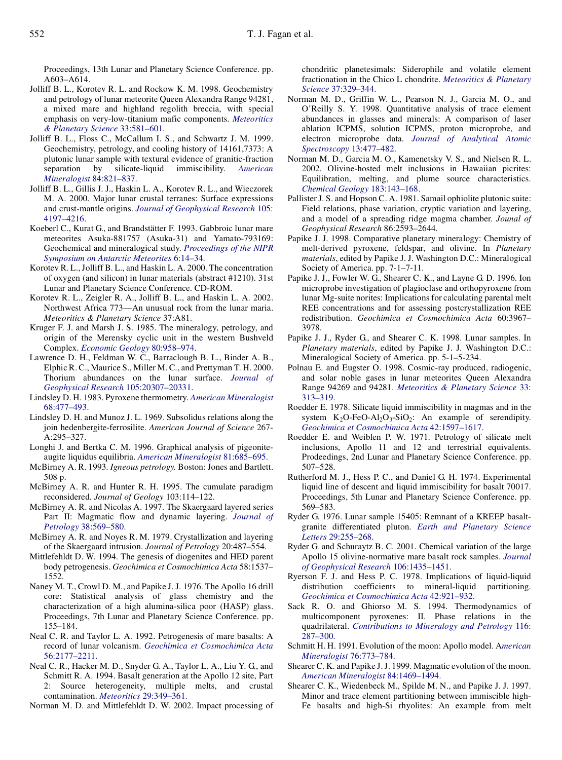Proceedings, 13th Lunar and Planetary Science Conference. pp. A603–A614.

- Jolliff B. L., Korotev R. L. and Rockow K. M. 1998. Geochemistry and petrology of lunar meteorite Queen Alexandra Range 94281, a mixed mare and highland regolith breccia, with special emphasis on very-low-titanium mafic components. *[Meteoritics](http://www.ingentaconnect.com/content/external-references?article=/1086-9379^28^2933L.581[aid=5142930]) [& Planetary Science](http://www.ingentaconnect.com/content/external-references?article=/1086-9379^28^2933L.581[aid=5142930])* 33:581–601.
- Jolliff B. L., Floss C., McCallum I. S., and Schwartz J. M. 1999. Geochemistry, petrology, and cooling history of 14161,7373: A plutonic lunar sample with textural evidence of granitic-fraction separation by silicate-liquid immiscibility. *[American](http://www.ingentaconnect.com/content/external-references?article=/0003-004X^28^2984L.821[aid=5142931]) [Mineralogist](http://www.ingentaconnect.com/content/external-references?article=/0003-004X^28^2984L.821[aid=5142931])* 84:821–837.
- Jolliff B. L., Gillis J. J., Haskin L. A., Korotev R. L., and Wieczorek M. A. 2000. Major lunar crustal terranes: Surface expressions and crust-mantle origins. *[Journal of Geophysical Research](http://www.ingentaconnect.com/content/external-references?article=/0148-0227^28^29105L.4197[aid=4818432])* 105: [4197–4216.](http://www.ingentaconnect.com/content/external-references?article=/0148-0227^28^29105L.4197[aid=4818432])
- Koeberl C., Kurat G., and Brandstätter F. 1993. Gabbroic lunar mare meteorites Asuka-881757 (Asuka-31) and Yamato-793169: Geochemical and mineralogical study. *[Proceedings of the NIPR](http://www.ingentaconnect.com/content/external-references?article=/0914-5621^28^296L.14[aid=5142888]) [Symposium on Antarctic Meteorites](http://www.ingentaconnect.com/content/external-references?article=/0914-5621^28^296L.14[aid=5142888])* 6:14–34.
- Korotev R. L., Jolliff B. L., and Haskin L. A. 2000. The concentration of oxygen (and silicon) in lunar materials (abstract #1210). 31st Lunar and Planetary Science Conference. CD-ROM.
- Korotev R. L., Zeigler R. A., Jolliff B. L., and Haskin L. A. 2002. Northwest Africa 773—An unusual rock from the lunar maria. *Meteoritics & Planetary Science* 37:A81.
- Kruger F. J. and Marsh J. S. 1985. The mineralogy, petrology, and origin of the Merensky cyclic unit in the western Bushveld Complex. *[Economic Geology](http://www.ingentaconnect.com/content/external-references?article=/0361-0128^28^2980L.958[aid=208654])* 80:958–974.
- Lawrence D. H., Feldman W. C., Barraclough B. L., Binder A. B., Elphic R. C., Maurice S., Miller M. C., and Prettyman T. H. 2000. Thorium abundances on the lunar surface. *[Journal of](http://www.ingentaconnect.com/content/external-references?article=/0148-0227^28^29105L.20307[aid=5142932]) [Geophysical Research](http://www.ingentaconnect.com/content/external-references?article=/0148-0227^28^29105L.20307[aid=5142932])* 105:20307–20331.
- Lindsley D. H. 1983. Pyroxene thermometry. *[American Mineralogist](http://www.ingentaconnect.com/content/external-references?article=/0003-004X^28^2968L.477[aid=1113124])* [68:477–493.](http://www.ingentaconnect.com/content/external-references?article=/0003-004X^28^2968L.477[aid=1113124])
- Lindsley D. H. and Munoz J. L. 1969. Subsolidus relations along the join hedenbergite-ferrosilite. *American Journal of Science* 267- A:295–327.
- Longhi J. and Bertka C. M. 1996. Graphical analysis of pigeoniteaugite liquidus equilibria. *[American Mineralogist](http://www.ingentaconnect.com/content/external-references?article=/0003-004X^28^2981L.685[aid=866446])* 81:685–695.
- McBirney A. R. 1993. *Igneous petrology.* Boston: Jones and Bartlett. 508 p.
- McBirney A. R. and Hunter R. H. 1995. The cumulate paradigm reconsidered. *Journal of Geology* 103:114–122.
- McBirney A. R. and Nicolas A. 1997. The Skaergaard layered series Part II: Magmatic flow and dynamic layering. *[Journal of](http://www.ingentaconnect.com/content/external-references?article=/0022-3530^28^2938L.569[aid=5142933]) Petrology* [38:569–580.](http://www.ingentaconnect.com/content/external-references?article=/0022-3530^28^2938L.569[aid=5142933])
- McBirney A. R. and Noyes R. M. 1979. Crystallization and layering of the Skaergaard intrusion. *Journal of Petrology* 20:487–554.
- Mittlefehldt D. W. 1994. The genesis of diogenites and HED parent body petrogenesis. *Geochimica et Cosmochimica Acta* 58:1537– 1552.
- Naney M. T., Crowl D. M., and Papike J. J. 1976. The Apollo 16 drill core: Statistical analysis of glass chemistry and the characterization of a high alumina-silica poor (HASP) glass. Proceedings, 7th Lunar and Planetary Science Conference. pp. 155–184.
- Neal C. R. and Taylor L. A. 1992. Petrogenesis of mare basalts: A record of lunar volcanism. *[Geochimica et Cosmochimica Acta](http://www.ingentaconnect.com/content/external-references?article=/0016-7037^28^2956L.2177[aid=5142892])* [56:2177–2211.](http://www.ingentaconnect.com/content/external-references?article=/0016-7037^28^2956L.2177[aid=5142892])
- Neal C. R., Hacker M. D., Snyder G. A., Taylor L. A., Liu Y. G., and Schmitt R. A. 1994. Basalt generation at the Apollo 12 site, Part 2: Source heterogeneity, multiple melts, and crustal contamination. *Meteoritics* [29:349–361.](http://www.ingentaconnect.com/content/external-references?article=/0026-1114^28^2929L.349[aid=5142935])

Norman M. D. and Mittlefehldt D. W. 2002. Impact processing of

chondritic planetesimals: Siderophile and volatile element fractionation in the Chico L chondrite. *[Meteoritics & Planetary](http://www.ingentaconnect.com/content/external-references?article=/1086-9379^28^2937L.329[aid=5142936]) Science* [37:329–344.](http://www.ingentaconnect.com/content/external-references?article=/1086-9379^28^2937L.329[aid=5142936])

- Norman M. D., Griffin W. L., Pearson N. J., Garcia M. O., and O'Reilly S. Y. 1998. Quantitative analysis of trace element abundances in glasses and minerals: A comparison of laser ablation ICPMS, solution ICPMS, proton microprobe, and electron microprobe data. *[Journal of Analytical Atomic](http://www.ingentaconnect.com/content/external-references?article=/0267-9477^28^2913L.477[aid=5142875]) [Spectroscopy](http://www.ingentaconnect.com/content/external-references?article=/0267-9477^28^2913L.477[aid=5142875])* 13:477–482.
- Norman M. D., Garcia M. O., Kamenetsky V. S., and Nielsen R. L. 2002. Olivine-hosted melt inclusions in Hawaiian picrites: Equilibration, melting, and plume source characteristics. *[Chemical Geology](http://www.ingentaconnect.com/content/external-references?article=/0009-2541^28^29183L.143[aid=5142937])* 183:143–168.
- Pallister J. S. and Hopson C. A. 1981. Samail ophiolite plutonic suite: Field relations, phase variation, cryptic variation and layering, and a model of a spreading ridge magma chamber. *Jounal of Geophysical Research* 86:2593–2644.
- Papike J. J. 1998. Comparative planetary mineralogy: Chemistry of melt-derived pyroxene, feldspar, and olivine. In *Planetary materials*, edited by Papike J. J. Washington D.C.: Mineralogical Society of America. pp. 7-1–7-11.
- Papike J. J., Fowler W. G., Shearer C. K., and Layne G. D. 1996. Ion microprobe investigation of plagioclase and orthopyroxene from lunar Mg-suite norites: Implications for calculating parental melt REE concentrations and for assessing postcrystallization REE redistribution. *Geochimica et Cosmochimica Acta* 60:3967– 3978.
- Papike J. J., Ryder G., and Shearer C. K. 1998. Lunar samples. In *Planetary materials*, edited by Papike J. J. Washington D.C.: Mineralogical Society of America. pp. 5-1–5-234.
- Polnau E. and Eugster O. 1998. Cosmic-ray produced, radiogenic, and solar noble gases in lunar meteorites Queen Alexandra Range 94269 and 94281. *[Meteoritics & Planetary Science](http://www.ingentaconnect.com/content/external-references?article=/1086-9379^28^2933L.313[aid=5142939])* 33: [313–319.](http://www.ingentaconnect.com/content/external-references?article=/1086-9379^28^2933L.313[aid=5142939])
- Roedder E. 1978. Silicate liquid immiscibility in magmas and in the system  $K_2O$ -FeO-Al<sub>2</sub>O<sub>3</sub>-SiO<sub>2</sub>: An example of serendipity. *[Geochimica et Cosmochimica Acta](http://www.ingentaconnect.com/content/external-references?article=/0016-7037^28^2942L.1597[aid=5142940])* 42:1597–1617.
- Roedder E. and Weiblen P. W. 1971. Petrology of silicate melt inclusions, Apollo 11 and 12 and terrestrial equivalents. Prodeedings, 2nd Lunar and Planetary Science Conference. pp. 507–528.
- Rutherford M. J., Hess P. C., and Daniel G. H. 1974. Experimental liquid line of descent and liquid immiscibility for basalt 70017. Proceedings, 5th Lunar and Planetary Science Conference. pp. 569–583.
- Ryder G. 1976. Lunar sample 15405: Remnant of a KREEP basaltgranite differentiated pluton. *[Earth and Planetary Science](http://www.ingentaconnect.com/content/external-references?article=/0012-821X^28^2929L.255[aid=5142941]) Letters* [29:255–268.](http://www.ingentaconnect.com/content/external-references?article=/0012-821X^28^2929L.255[aid=5142941])
- Ryder G. and Schuraytz B. C. 2001. Chemical variation of the large Apollo 15 olivine-normative mare basalt rock samples. *[Journal](http://www.ingentaconnect.com/content/external-references?article=/0148-0227^28^29106L.1435[aid=5142893]) [of Geophysical Research](http://www.ingentaconnect.com/content/external-references?article=/0148-0227^28^29106L.1435[aid=5142893])* 106:1435–1451.
- Ryerson F. J. and Hess P. C. 1978. Implications of liquid-liquid distribution coefficients to mineral-liquid partitioning. *[Geochimica et Cosmochimica Acta](http://www.ingentaconnect.com/content/external-references?article=/0016-7037^28^2942L.921[aid=5142942])* 42:921–932.
- Sack R. O. and Ghiorso M. S. 1994. Thermodynamics of multicomponent pyroxenes: II. Phase relations in the quadrilateral. *[Contributions to Mineralogy and Petrology](http://www.ingentaconnect.com/content/external-references?article=/0010-7999^28^29116L.287[aid=4233369])* 116: [287–300.](http://www.ingentaconnect.com/content/external-references?article=/0010-7999^28^29116L.287[aid=4233369])
- Schmitt H. H. 1991. Evolution of the moon: Apollo model. A*[merican](http://www.ingentaconnect.com/content/external-references?article=/0003-004X^28^2976L.773[aid=5142943]) [Mineralogist](http://www.ingentaconnect.com/content/external-references?article=/0003-004X^28^2976L.773[aid=5142943])* 76:773–784.
- Shearer C. K. and Papike J. J. 1999. Magmatic evolution of the moon. *[American Mineralogist](http://www.ingentaconnect.com/content/external-references?article=/0003-004X^28^2984L.1469[aid=5142944])* 84:1469–1494.
- Shearer C. K., Wiedenbeck M., Spilde M. N., and Papike J. J. 1997. Minor and trace element partitioning between immiscible high-Fe basalts and high-Si rhyolites: An example from melt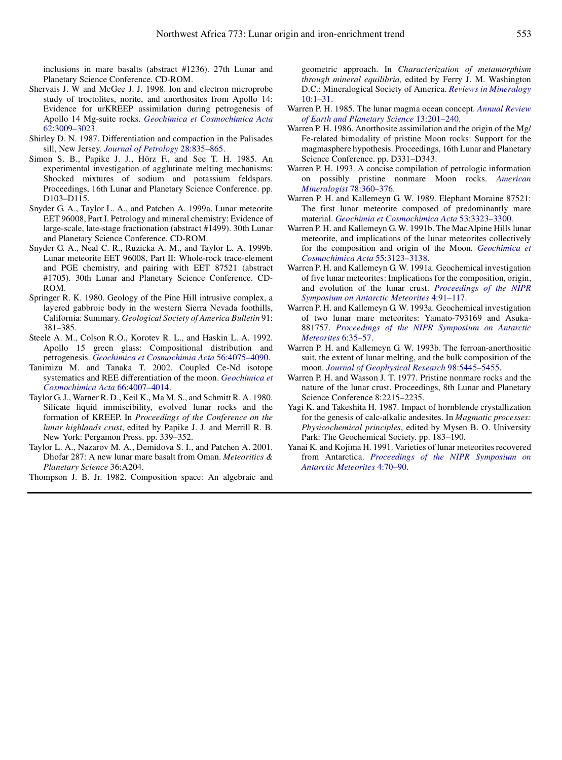inclusions in mare basalts (abstract #1236). 27th Lunar and Planetary Science Conference. CD-ROM.

- Shervais J. W and McGee J. J. 1998. Ion and electron microprobe study of troctolites, norite, and anorthosites from Apollo 14: Evidence for urKREEP assimilation during petrogenesis of Apollo 14 Mg-suite rocks. *[Geochimica et Cosmochimica Acta](http://www.ingentaconnect.com/content/external-references?article=/0016-7037^28^2962L.3009[aid=5142945])* [62:3009–3023.](http://www.ingentaconnect.com/content/external-references?article=/0016-7037^28^2962L.3009[aid=5142945])
- Shirley D. N. 1987. Differentiation and compaction in the Palisades sill, New Jersey. *[Journal of Petrology](http://www.ingentaconnect.com/content/external-references?article=/0022-3530^28^2928L.835[aid=209421])* 28:835–865.
- Simon S. B., Papike J. J., Hörz F., and See T. H. 1985. An experimental investigation of agglutinate melting mechanisms: Shocked mixtures of sodium and potassium feldspars. Proceedings, 16th Lunar and Planetary Science Conference. pp. D103–D115.
- Snyder G. A., Taylor L. A., and Patchen A. 1999a. Lunar meteorite EET 96008, Part I. Petrology and mineral chemistry: Evidence of large-scale, late-stage fractionation (abstract #1499). 30th Lunar and Planetary Science Conference. CD-ROM.
- Snyder G. A., Neal C. R., Ruzicka A. M., and Taylor L. A. 1999b. Lunar meteorite EET 96008, Part II: Whole-rock trace-element and PGE chemistry, and pairing with EET 87521 (abstract #1705). 30th Lunar and Planetary Science Conference. CD-ROM.
- Springer R. K. 1980. Geology of the Pine Hill intrusive complex, a layered gabbroic body in the western Sierra Nevada foothills, California: Summary. *Geological Society of America Bulletin* 91: 381–385.
- Steele A. M., Colson R.O., Korotev R. L., and Haskin L. A. 1992. Apollo 15 green glass: Compositional distribution and petrogenesis. *[Geochimica et Cosmochimia Acta](http://www.ingentaconnect.com/content/external-references?article=/0016-7037^28^2956L.4075[aid=5142905])* 56:4075–4090.
- Tanimizu M. and Tanaka T. 2002. Coupled Ce-Nd isotope systematics and REE differentiation of the moon. *[Geochimica et](http://www.ingentaconnect.com/content/external-references?article=/0016-7037^28^2966L.4007[aid=5142947]) [Cosmochimica Acta](http://www.ingentaconnect.com/content/external-references?article=/0016-7037^28^2966L.4007[aid=5142947])* 66:4007–4014.
- Taylor G. J., Warner R. D., Keil K., Ma M. S., and Schmitt R. A. 1980. Silicate liquid immiscibility, evolved lunar rocks and the formation of KREEP. In *Proceedings of the Conference on the lunar highlands crust*, edited by Papike J. J. and Merrill R. B. New York: Pergamon Press. pp. 339–352.
- Taylor L. A., Nazarov M. A., Demidova S. I., and Patchen A. 2001. Dhofar 287: A new lunar mare basalt from Oman. *Meteoritics & Planetary Science* 36:A204.

Thompson J. B. Jr. 1982. Composition space: An algebraic and

geometric approach. In *Characterization of metamorphism through mineral equilibria,* edited by Ferry J. M. Washington D.C.: Mineralogical Society of America. *[Reviews in Mineralogy](http://www.ingentaconnect.com/content/external-references?article=/0275-0279^28^2910L.1[aid=5142948])* [10:1–31.](http://www.ingentaconnect.com/content/external-references?article=/0275-0279^28^2910L.1[aid=5142948])

- Warren P. H. 1985. The lunar magma ocean concept. *[Annual Review](http://www.ingentaconnect.com/content/external-references?article=/0084-6597^28^2913L.201[aid=5142949]) [of Earth and Planetary Science](http://www.ingentaconnect.com/content/external-references?article=/0084-6597^28^2913L.201[aid=5142949])* 13:201–240.
- Warren P. H. 1986. Anorthosite assimilation and the origin of the Mg/ Fe-related bimodality of pristine Moon rocks: Support for the magmasphere hypothesis. Proceedings, 16th Lunar and Planetary Science Conference. pp. D331–D343.
- Warren P. H. 1993. A concise compilation of petrologic information on possibly pristine nonmare Moon rocks. *[American](http://www.ingentaconnect.com/content/external-references?article=/0003-004X^28^2978L.360[aid=5142950]) [Mineralogist](http://www.ingentaconnect.com/content/external-references?article=/0003-004X^28^2978L.360[aid=5142950])* 78:360–376.
- Warren P. H. and Kallemeyn G. W. 1989. Elephant Moraine 87521: The first lunar meteorite composed of predominantly mare material. *[Geochimia et Cosmochimica Acta](http://www.ingentaconnect.com/content/external-references?article=/0016-7037^28^2953L.3323[aid=5142897])* 53:3323–3300.
- Warren P. H. and Kallemeyn G. W. 1991b. The MacAlpine Hills lunar meteorite, and implications of the lunar meteorites collectively for the composition and origin of the Moon. *[Geochimica et](http://www.ingentaconnect.com/content/external-references?article=/0016-7037^28^2955L.3123[aid=5142951]) [Cosmochimica Acta](http://www.ingentaconnect.com/content/external-references?article=/0016-7037^28^2955L.3123[aid=5142951])* 55:3123–3138.
- Warren P. H. and Kallemeyn G. W. 1991a. Geochemical investigation of five lunar meteorites: Implications for the composition, origin, and evolution of the lunar crust. *[Proceedings of the NIPR](http://www.ingentaconnect.com/content/external-references?article=/0914-5621^28^294L.91[aid=5142952]) [Symposium on Antarctic Meteorites](http://www.ingentaconnect.com/content/external-references?article=/0914-5621^28^294L.91[aid=5142952])* 4:91–117.
- Warren P. H. and Kallemeyn G. W. 1993a. Geochemical investigation of two lunar mare meteorites: Yamato-793169 and Asuka-881757. *[Proceedings of the NIPR Symposium on Antarctic](http://www.ingentaconnect.com/content/external-references?article=/0914-5621^28^296L.35[aid=5142953]) [Meteorites](http://www.ingentaconnect.com/content/external-references?article=/0914-5621^28^296L.35[aid=5142953])* 6:35–57.
- Warren P. H. and Kallemeyn G. W. 1993b. The ferroan-anorthositic suit, the extent of lunar melting, and the bulk composition of the moon. *[Journal of Geophysical Research](http://www.ingentaconnect.com/content/external-references?article=/0148-0227^28^2998L.5445[aid=5142954])* 98:5445–5455.
- Warren P. H. and Wasson J. T. 1977. Pristine nonmare rocks and the nature of the lunar crust. Proceedings, 8th Lunar and Planetary Science Conference 8:2215–2235.
- Yagi K. and Takeshita H. 1987. Impact of hornblende crystallization for the genesis of calc-alkalic andesites. In *Magmatic processes: Physicochemical principles*, edited by Mysen B. O. University Park: The Geochemical Society. pp. 183–190.
- Yanai K. and Kojima H. 1991. Varieties of lunar meteorites recovered from Antarctica. *[Proceedings of the NIPR Symposium on](http://www.ingentaconnect.com/content/external-references?article=/0914-5621^28^294L.70[aid=5142899]) [Antarctic Meteorites](http://www.ingentaconnect.com/content/external-references?article=/0914-5621^28^294L.70[aid=5142899])* 4:70–90.